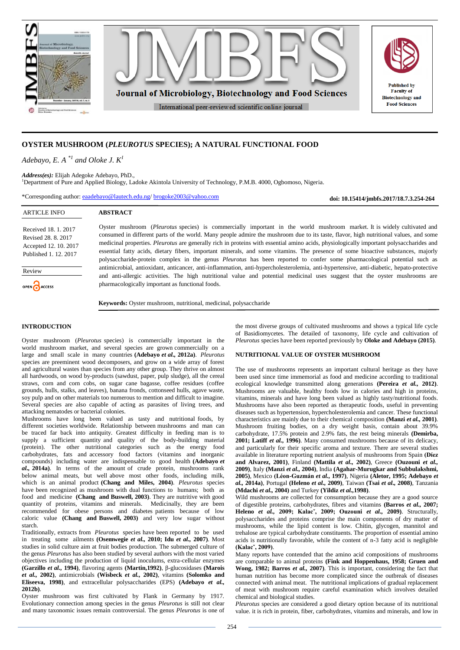

# **OYSTER MUSHROOM (***PLEUROTUS* **SPECIES); A NATURAL FUNCTIONAL FOOD**

*Adebayo, E. A*<sup> $*1$ </sup> *and Oloke J. K*<sup>1</sup>

*Address(es):* Elijah Adegoke Adebayo, PhD., <sup>1</sup>Department of Pure and Applied Biology, Ladoke Akintola University of Technology, P.M.B. 4000, Ogbomoso, Nigeria.

\*Corresponding author: [eaadebayo@lautech.edu.ng/](mailto:brogoke2003@yahoo.com/eaadebayo@lautech.edu.ng) [brogoke2003@yahoo.com](mailto:brogoke2003@yahoo.com)

**ABSTRACT**

**doi: 10.15414/jmbfs.2017/18.7.3.254-264**

# ARTICLE INFO

Received 18. 1. 2017 Revised 28. 8. 2017 Accepted 12. 10. 2017 Published 1. 12. 2017

Review

OPEN ACCESS

Oyster mushroom (*Pleurotus* species) is commercially important in the world mushroom market. It is widely cultivated and consumed in different parts of the world. Many people admire the mushroom due to its taste, flavor, high nutritional values, and some medicinal properties. *Pleurotus* are generally rich in proteins with essential amino acids, physiologically important polysaccharides and essential fatty acids, dietary fibers, important minerals, and some vitamins. The presence of some bioactive substances, majorly polysaccharide-protein complex in the genus *Pleurotus* has been reported to confer some pharmacological potential such as antimicrobial, antioxidant, anticancer, anti-inflammation, anti-hypercholesterolemia, anti-hypertensive, anti-diabetic, hepato-protective and anti-allergic activities. The high nutritional value and potential medicinal uses suggest that the oyster mushrooms are pharmacologically important as functional foods.

**Keywords:** Oyster mushroom, nutritional, medicinal, polysaccharide

### **INTRODUCTION**

Oyster mushroom (*Pleurotus* species) is commercially important in the world mushroom market, and several species are grown commercially on a large and small scale in many countries **(Adebayo** *et al.,* **2012a)**. *Pleurotus* species are preeminent wood decomposers, and grow on a wide array of forest and agricultural wastes than species from any other group. They thrive on almost all hardwoods, on wood by-products (sawdust, paper, pulp sludge), all the cereal straws, corn and corn cobs, on sugar cane bagasse, coffee residues (coffee grounds, hulls, stalks, and leaves), banana fronds, cottonseed hulls, agave waste, soy pulp and on other materials too numerous to mention and difficult to imagine. Several species are also capable of acting as parasites of living trees, and attacking nematodes or bacterial colonies.

Mushrooms have long been valued as tasty and nutritional foods, by different societies worldwide. Relationship between mushrooms and man can be traced far back into antiquity. Greatest difficulty in feeding man is to supply a sufficient quantity and quality of the body-building material (protein). The other nutritional categories such as the energy food carbohydrates, fats and accessory food factors (vitamins and inorganic compounds) including water are indispensable to good health **(Adebayo** *et al.,* **2014a)**. In terms of the amount of crude protein, mushrooms rank below animal meats, but well above most other foods, including milk, which is an animal product **(Chang and Miles, 2004)**. *Pleurotus* species have been recognized as mushroom with dual functions to humans; both as food and medicine **(Chang and Buswell, 2003)**. They are nutritive with good quantity of proteins, vitamins and minerals. Medicinally, they are been recommended for obese persons and diabetes patients because of low caloric value **(Chang and Buswell, 2003)** and very low sugar without starch.

Traditionally, extracts from *Pleurotus* species have been reported to be used in treating some ailments **(Osemwegie** *et al.,* **2010; Idu** *et al.,* **2007)**. Most studies in solid culture aim at fruit bodies production. The submerged culture of the genus *Pleurotus* has also been studied by several authors with the most varied objectives including the production of liquid inoculums, extra-cellular enzymes **(Garzillo** *et al.,* **1994)**, flavoring agents **(Martin,1992)**, β-glucosidases **(Marois**  *et al.,* **2002)**, antimicrobials **(Wisbeck** *et al.,* **2002)**, vitamins **(Solomko and Eliseeva, 1998)**, and extracellular polysaccharides (EPS) **(Adebayo** *et al.,* **2012b)**.

Oyster mushroom was first cultivated by Flank in Germany by 1917. Evolutionary connection among species in the genus *Pleurotus* is still not clear and many taxonomic issues remain controversial. The genus *Pleurotus* is one of the most diverse groups of cultivated mushrooms and shows a typical life cycle of Basidiomycetes. The detailed of taxonomy, life cycle and cultivation of *Pleurotus* species have been reported previously by **Oloke and Adebayo (2015)**.

#### **NUTRITIONAL VALUE OF OYSTER MUSHROOM**

The use of mushrooms represents an important cultural heritage as they have been used since time immemorial as food and medicine according to traditional ecological knowledge transmitted along generations **(Pereira** *et al.,* **2012)**. Mushrooms are valuable, healthy foods low in calories and high in proteins, vitamins, minerals and have long been valued as highly tasty/nutritional foods. Mushrooms have also been reported as therapeutic foods, useful in preventing diseases such as hypertension, hypercholesterolemia and cancer. These functional characteristics are mainly due to their chemical composition **(Manzi** *et al.,* **2001)**. Mushroom fruiting bodies, on a dry weight basis, contain about 39.9% carbohydrate, 17.5% protein and 2.9% fats, the rest being minerals **(Demirba, 2001; Latiff** *et al.,* **1996)**. Many consumed mushrooms because of its delicacy, and particularly for their specific aroma and texture. There are several studies available in literature reporting nutrient analysis of mushrooms from Spain **(Díez and Alvarez, 2001)**, Finland **(Mattila** *et al.,* **2002)**, Greece **(Ouzouni** *et al.,* **2009)**, Italy **(Manzi** *et al.,* **2004)**, India **(Agahar-Murugkar and Subbulakshmi, 2005)**, Mexico **(Léon-Guzmán** *et al.,* **1997)**, Nigeria **(Aletor, 1995; Adebayo** *et al.,* **2014a)**, Portugal **(Heleno** *et al.,* **2009)**, Taiwan **(Tsai** *et al.,* **2008)**, Tanzania **(Mdachi** *et al.,* **2004)** and Turkey **(Yildiz** *et al.,***1998)**.

Wild mushrooms are collected for consumption because they are a good source of digestible proteins, carbohydrates, fibres and vitamins **(Barros** *et al.,* **2007; Heleno** *et al.,* **2009; Kalacˇ, 2009; Ouzouni** *et al.,* **2009)**. Structurally, polysaccharides and proteins comprise the main components of dry matter of mushrooms, while the lipid content is low. Chitin, glycogen, mannitol and trehalose are typical carbohydrate constituents. The proportion of essential amino acids is nutritionally favorable, while the content of n-3 fatty acid is negligible **(Kalacˇ, 2009)**.

Many reports have contended that the amino acid compositions of mushrooms are comparable to animal proteins **(Fink and Hoppenhaus, 1958; Gruen and Wong, 1982; Barros** *et al.,* **2007)**. This is important, considering the fact that human nutrition has become more complicated since the outbreak of diseases connected with animal meat. The nutritional implications of gradual replacement of meat with mushroom require careful examination which involves detailed chemical and biological studies.

*Pleurotus* species are considered a good dietary option because of its nutritional value. it is rich in protein, fiber, carbohydrates, vitamins and minerals, and low in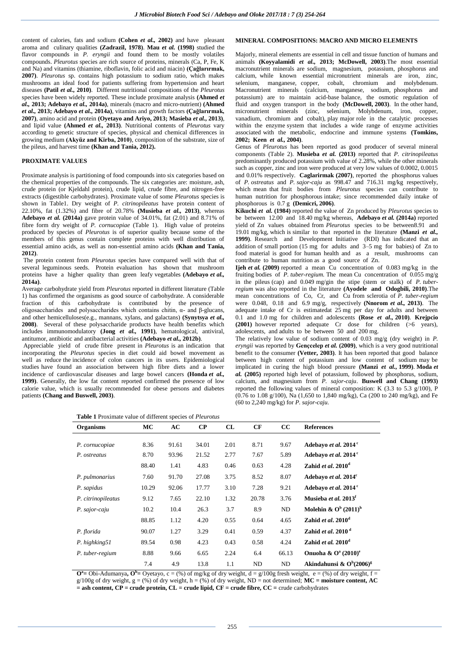content of calories, fats and sodium **(Cohen** *et al.,* **2002)** and have pleasant aroma and culinary qualities **(Zadrazil, 1978)**. **Mau** *et al.* **(1998)** studied the flavor compounds in *P. eryngii* and found them to be mostly volatiles compounds. *Pleurotus* species are rich source of proteins, minerals (Ca, P, Fe, K and Na) and vitamins (thiamine, riboflavin, folic acid and niacin) **(Çağlarırmak, 2007)**. *Pleurotus* sp. contains high potassium to sodium ratio, which makes mushrooms an ideal food for patients suffering from hypertension and heart diseases **(Patil** *et al.,* **2010)**. Different nutritional compositions of the *Pleurotus* species have been widely reported. These include proximate analysis **(Ahmed** *et al.,* **2013; Adebayo** *et al.,* **2014a)**, minerals (macro and micro-nutrient) **(Ahmed**  *et al.,* **2013; Adebayo** *et al.,* **2014a)**, vitamins and growth factors **(Çağlarırmak, 2007)**, amino acid and protein **(Oyetayo and Ariyo, 2013; Masieba** *et al.,* **2013)**, and lipid value **(Ahmed** *et al.,* **2013)**. Nutritional contents of *Pleurotus* vary according to genetic structure of species, physical and chemical differences in growing medium **(Akyüz and Kirba, 2010)**, composition of the substrate, size of the pileus, and harvest time **(Khan and Tania, 2012).**

### **PROXIMATE VALUES**

Proximate analysis is partitioning of food compounds into six categories based on the chemical properties of the compounds. The six categories are: moisture, ash, crude protein (or Kjeldahl protein), crude lipid, crude fibre, and nitrogen-free extracts (digestible carbohydrates). Proximate value of some *Pleurotus* species is shown in Table1. Dry weight of *P. citrinopileatus* have protein content of 22.10%, fat (1.32%) and fibre of 20.78% **(Musieba** *et al.,* **2013)**, whereas **Adebayo** *et al.* **(2014a)** gave protein value of 34.01%, fat (2.01) and 8.71% of fibre form dry weight of *P. cornucopiae* (Table 1). High value of proteins produced by species of *Pleurotus* is of superior quality because some of the members of this genus contain complete proteins with well distribution of essential amino acids, as well as non-essential amino acids **(Khan and Tania, 2012)**.

The protein content from *Pleurotus* species have compared well with that of several leguminous seeds. Protein evaluation has shown that mushroom proteins have a higher quality than green leafy vegetables **(Adebayo** *et al.,* **2014a)**.

Average carbohydrate yield from *Pleurotus* reported in different literature (Table 1) has confirmed the organisms as good source of carbohydrate. A considerable fraction of this carbohydrate is contributed by the presence of oligosaccharides and polysaccharides which contains chitin, α- and β-glucans, and other hemicelluloses(e.g., mannans, xylans, and galactans) **(Synytsya** *et al.,* **2008)**. Several of these polysaccharide products have health benefits which includes immunomodulatory **(Jong** *et al.,* **1991)**, hematological, antiviral, antitumor, antibiotic and antibacterial activities **(Adebayo** *et al.,* **2012b)**.

Appreciable yield of crude fibre present in *Pleurotus* is an indication that incorporating the *Pleurotus* species in diet could aid bowel movement as well as reduce the incidence of colon cancers in its users. Epidemiological studies have found an association between high fibre diets and a lower incidence of cardiovascular diseases and large bowel cancers **(Honda** *et al.,* **1999)**. Generally, the low fat content reported confirmed the presence of low calorie value, which is usually recommended for obese persons and diabetes patients **(Chang and Buswell, 2003)**.

**Table 1** Proximate value of different species of *Pleurotus*

#### **MINERAL COMPOSITIONS: MACRO AND MICRO ELEMENTS**

Majorly, mineral elements are essential in cell and tissue function of humans and animals **(Koyyalamidi** *et al.,* **2013; McDowell, 2003)**.The most essential macronutrient minerals are sodium, magnesium, potassium, phosphorus and calcium, while known essential micronutrient minerals are iron, zinc, selenium, manganese, copper, cobalt, chromium and molybdenum. Macronutrient minerals (calcium, manganese, sodium, phosphorus and potassium) are to maintain acid-base balance, the osmotic regulation of fluid and oxygen transport in the body **(McDowell, 2003)**. In the other hand, micronutrient minerals (zinc, selenium, Molybdenum, iron, copper, vanadium, chromium and cobalt), play major role in the catalytic processes within the enzyme system that includes a wide range of enzyme activities associated with the metabolic, endocrine and immune systems **(Tomkins, 2002; Keen** *et al.,* **2004)**.

Genus of *Pleurotus* has been reported as good producer of several mineral components (Table 2). **Musieba** *et al.* **(2013)** reported that *P. citrinopileatus*  predominantly produced potassium with value of 2.28%, while the other minerals such as copper, zinc and iron were produced at very low values of 0.0002, 0.0015 and 0.01% respectively. **Caglarirmak (2007)**, reported the phosphorus values of *P. ostreatus* and *P. sajor-caju* as 998.47 and 716.31 mg/kg respectively, which mean that fruit bodies from *Pleurotus* species can contribute to human nutrition for phosphorous intake; since recommended daily intake of phosphorous is 0.7 g **(Demicri, 2006)**.

**Kikuchi** *et al.* **(1984)** reported the value of Zn produced by *Pleurotus* species to be between 12.00 and 18.40 mg/kg whereas, **Adebayo** *et al.* **(2014a)** reported yield of Zn values obtained from *Pleurotus* species to be between8.91 and 19.01 mg/kg, which is similar to that reported in the literature **(Manzi** *et al.,* **1999)**. Research and Development Initiative (RDI) has indicated that an addition of small portion (15 mg for adults and 3–5 mg for babies) of Zn to food material is good for human health and as a result, mushrooms can contribute to human nutrition as a good source of Zn.

**Ijeh** *et al.* (2009) reported a mean Cu concentration of 0.083 mg/kg in the fruiting bodies of *P. tuber-regium.* The mean Cu concentration of 0.055 mg/g in the pileus (cap) and 0.049 mg/gin the stipe (stem or stalk) of *P. tuberregium* was also reported in the literature **(Ayodele and Odogbili, 2010)**.The mean concentrations of Co, Cr, and Cu from sclerotia of *P. tuber-regium*  were 0.048, 0.18 and 6.9 mg/g, respectively **(Nnorom** *et al.,* **2013)**. The adequate intake of Cr is estimatedat 25 mg per day for adults and between 0.1 and 1.0 mg for children and adolescents **(Rose** *et al.,* **2010)**. **Krejpcio (2001)** however reported adequate Cr dose for children (>6 years), adolescents, and adults to be between 50 and 200 mg.

The relatively low value of sodium content of 0.03 mg/g (dry weight) in *P. eryngii* was reported by **Gençcelep** *et al.* **(2009)**, which is a very good nutritional benefit to the consumer **(Vetter, 2003)**. It has been reported that good balance between high content of potassium and low content of sodium may be implicated in curing the high blood pressure **(Manzi** *et al.,* **1999)**. **Moda** *et al.* **(2005)** reported high level of potassium, followed by phosphorus, sodium, calcium, and magnesium from *P. sajor-caju*. **Buswell and Chang (1993)** reported the following values of mineral composition: K  $(3.3 \text{ to } 5.3 \text{ g}/100)$ , P (0.76 to 1.08 g/100), Na (1,650 to 1,840 mg/kg), Ca (200 to 240 mg/kg), and Fe (60 to 2,240 mg/kg) for *P. sajor-caju*.

| <b>Table I</b> Proximate value of different species of <i>Pleurotus</i> |              |        |               |        |
|-------------------------------------------------------------------------|--------------|--------|---------------|--------|
| $\sim$ $\sim$ $\sim$                                                    | $\mathbf{M}$ | $\sim$ | $\sim$ $\sim$ | $\sim$ |

| <b>Organisms</b>   | MC    | AC    | $\bf CP$ | CL   | CF    | cc    | <b>References</b>                  |
|--------------------|-------|-------|----------|------|-------|-------|------------------------------------|
|                    |       |       |          |      |       |       |                                    |
| P. cornucopiae     | 8.36  | 91.61 | 34.01    | 2.01 | 8.71  | 9.67  | Adebayo et al. 2014 <sup>c</sup>   |
| P. ostreatus       | 8.70  | 93.96 | 21.52    | 2.77 | 7.67  | 5.89  | Adebayo et al. 2014 <sup>c</sup>   |
|                    | 88.40 | 1.41  | 4.83     | 0.46 | 0.63  | 4.28  | Zahid et al. $2010d$               |
| P. pulmonarius     | 7.60  | 91.70 | 27.08    | 3.75 | 8.52  | 8.07  | Adebayo et al. 2014 <sup>c</sup>   |
| P. sapidus         | 10.29 | 92.06 | 17.77    | 3.10 | 7.28  | 9.21  | Adebayo et al. 2014 <sup>c</sup>   |
| P. citrinopileatus | 9.12  | 7.65  | 22.10    | 1.32 | 20.78 | 3.76  | Musieba et al. 2013 <sup>f</sup>   |
| P. sajor-caju      | 10.2  | 10.4  | 26.3     | 3.7  | 8.9   | ND    | Molehin & $Ob$ (2011) <sup>h</sup> |
|                    | 88.85 | 1.12  | 4.20     | 0.55 | 0.64  | 4.65  | Zahid et al. $2010^d$              |
| P. florida         | 90.07 | 1.27  | 3.29     | 0.41 | 0.59  | 4.37  | Zahid et al. $2010d$               |
| P. highking51      | 89.54 | 0.98  | 4.23     | 0.43 | 0.58  | 4.24  | Zahid et al. $2010d$               |
| P. tuber-regium    | 8.88  | 9.66  | 6.65     | 2.24 | 6.4   | 66.13 | Onuoha & $O^a (2010)^e$            |
|                    | 7.4   | 4.9   | 13.8     | 1.1  | ND    | ND    | Akindahunsi & $O^b(2006)^g$        |

 $\mathbf{O}^{\mathbf{a}}$  = Obi-Adumanya,  $\mathbf{O}^{\mathbf{b}}$  = Oyetayo, c = (%) of mg/kg of dry weight, d = g/100g fresh weight, e = (%) of dry weight, f = g/100g of dry weight,  $g = (\%)$  of dry weight,  $h = (\%)$  of dry weight, ND = not determined; MC = **moisture content, AC = ash content, CP = crude protein, CL = crude lipid, CF = crude fibre, CC =** crude carbohydrates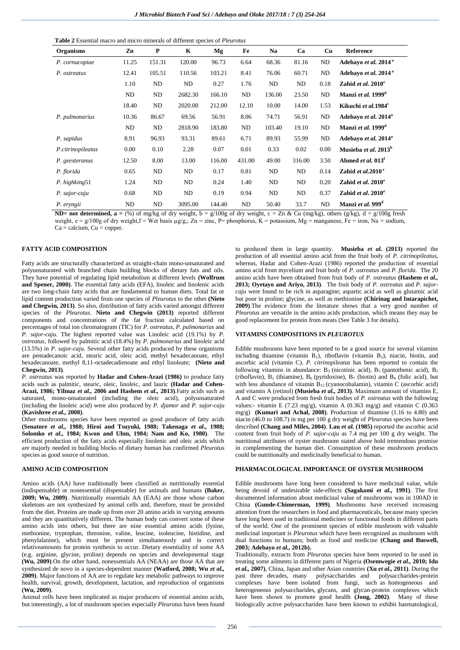| <b>Table 2</b> Essential macro and micro minerals of different species of <i>Pleurotus</i> |  |  |  |
|--------------------------------------------------------------------------------------------|--|--|--|
|--------------------------------------------------------------------------------------------|--|--|--|

| <b>Organisms</b>  | Zn    | P      | K       | Mg     | Fe     | Na     | Ca     | Cu   | Reference                        |
|-------------------|-------|--------|---------|--------|--------|--------|--------|------|----------------------------------|
| P. cornucopiae    | 11.25 | 151.31 | 120.00  | 96.73  | 6.64   | 68.36  | 81.16  | ND   | Adebayo et al. 2014 <sup>a</sup> |
| P. ostreatus      | 12.41 | 105.51 | 110.56  | 103.21 | 8.41   | 76.06  | 60.71  | ND   | Adebayo et al. 2014 <sup>a</sup> |
|                   | 1.10  | ND     | ND      | 0.27   | 1.76   | ND     | ND     | 0.18 | Zahid et al. $2010^e$            |
|                   | ND    | ND     | 2682.30 | 166.10 | ND     | 136.00 | 23.50  | ND   | Manzi et al. 1999 <sup>d</sup>   |
|                   | 18.40 | ND     | 2020.00 | 212.00 | 12.10  | 10.00  | 14.00  | 1.53 | Kikuchi et al. 1984 <sup>c</sup> |
| P. pulmonarius    | 10.36 | 86.67  | 69.56   | 56.91  | 8.06   | 74.71  | 56.91  | ND   | Adebayo et al. 2014 <sup>a</sup> |
|                   | ND    | ND     | 2818.90 | 183.80 | ND     | 103.40 | 19.10  | ND   | Manzi et al. 1999 <sup>d</sup>   |
| P. sapidus        | 8.91  | 96.93  | 93.31   | 89.61  | 6.71   | 89.93  | 55.99  | ND   | Adebayo et al. 2014 <sup>a</sup> |
| P.citrinopileatus | 0.00  | 0.10   | 2.28    | 0.07   | 0.01   | 0.33   | 0.02   | 0.00 | Musieba et al. 2013 <sup>b</sup> |
| P. geesteranus    | 12.50 | 8.00   | 13.00   | 116.00 | 431.00 | 49.00  | 316.00 | 3.50 | Ahmed et al. 013 <sup>f</sup>    |
| P. florida        | 0.65  | ND     | ND      | 0.17   | 0.81   | ND     | ND     | 0.14 | Zahid et al. $2010^e$            |
| P. highking51     | 1.24  | ND     | ND      | 0.24   | 1.40   | ND     | ND     | 0.20 | Zahid et al. $2010^e$            |
| P. sajor-caju     | 0.68  | ND     | ND      | 0.19   | 0.94   | ND     | ND     | 0.37 | Zahid et al. $2010^e$            |
| P. eryngii        | ND    | ND     | 3095.00 | 144.40 | ND     | 50.40  | 33.7   | ND   | Manzi et al. 999 <sup>d</sup>    |

**ND= not determined, a =**  $\frac{8}{9}$  of mg/kg of dry weight, b = g/100g of dry weight, c = Zn & Cu (mg/kg), others (g/kg), d = g/100g fresh

weight,  $e = g/100g$  of dry weight,  $f = Wet$  basis  $\mu g/g$ ;  $Zn = \text{zinc}$ ,  $P = \text{phosphorus}$ ,  $K = \text{potassium}$ ,  $Mg = \text{manganese}$ ,  $Fe = \text{iron}$ ,  $Na = \text{sodium}$ ,  $Ca =$  calcium,  $Cu =$  copper.

# **FATTY ACID COMPOSITION**

Fatty acids are structurally characterized as straight-chain mono-unsaturated and polyunsaturated with branched chain building blocks of dietary fats and oils. They have potential of regulating lipid metabolism at different levels **(Wolfrum and Spener, 2000)**. The essential fatty acids (EFA), linoleic and linolenic acids are two long-chain fatty acids that are fundamental to human diets. Total fat or lipid content production varied from one species of *Pleurotus* to the other **(Nieto and Chegwin, 2013)**. So also, distribution of fatty acids varied amongst different species of the *Pleurotus*. **Nieto and Chegwin (2013)** reported different components and concentrations of the fat fraction calculated based on percentages of total ion chromatogram (TIC) for *P. ostreatus, P. pulmonarius* and *P. sajor-caju*. The highest reported value was Linoleic acid (19.1%) by *P. ostreatus,* followed by palmitic acid (18.4%) by *P. pulmonarius* and linoleic acid (13.5%) in *P. sajor-caju.* Several other fatty acids produced by these organisms are pentadecanoic acid, stearic acid, oleic acid, methyl hexadecanoate, ethyl hexadecanoate, methyl 8,11-octadecadienoate and ethyl linoleate; **(Nieto and Chegwin, 2013)**.

*P. ostreatus* was reported by **Hadar and Cohen-Arazi (1986)** to produce fatty acids such as palmitic, stearic, oleic, linoleic, and lauric **(Hadar and Cohen-Arazi, 1986; Yilmaz** *et al.,* **2006 and Hashem** *et al.,* **2013)**.Fatty acids such as saturated, mono-unsaturated (including the oleic acid), polyunsaturated (including the linoleic acid) were also produced by *P. djamor* and *P. sajor-caju*  **(Kavishree** *et al.,* **2008)**.

Other mushrooms species have been reported as good producer of fatty acids **(Senatore** *et al.,* **1988; Hiroi and Tsuyuki, 1988; Takenaga** *et al.,* **1988; Solomko** *et al.,* **1984; Kwon and Uhm, 1984; Nam and Ko, 1980)**. The efficient production of the fatty acids especially linolenic and oleic acids which are majorly needed in building blocks of dietary human has confirmed *Pleurotus* species as good source of nutrition.

## **AMINO ACID COMPOSITION**

Amino acids (AA) have traditionally been classified as nutritionally essential (indispensable) or nonessential (dispensable) for animals and humans **(Baker, 2009; Wu, 2009)**. Nutritionally essentials AA (EAA) are those whose carbon skeletons are not synthesized by animal cells and, therefore, must be provided from the diet. Proteins are made up from over 20 amino acids in varying amounts and they are quantitatively different. The human body can convert some of these amino acids into others, but there are nine essential amino acids (lysine, methionine, tryptophan, threonine, valine, leucine, isoleucine, histidine, and phenylalanine), which must be present simultaneously and in correct relativeamounts for protein synthesis to occur. Dietary essentiality of some AA (e.g. arginine, glycine, proline) depends on species and developmental stage **(Wu, 2009)**.On the other hand, nonessentials AA (NEAA) are those AA that are synthesized de novo in a species-dependent manner **(Watford, 2008; Wu** *et al.,* **2009)**. Major functions of AA are to regulate key metabolic pathways to improve health, survival, growth, development, lactation, and reproduction of organisms **(Wu, 2009)**.

Animal cells have been implicated as major producers of essential amino acids, but interestingly, a lot of mushroom species especially *Pleurotus* have been found to produced them in large quantity. **Musieba** *et al.* **(2013)** reported the production of all essential amino acid from the fruit body of *P. citrinopileatus*, whereas, Hadar and Cohen-Arazi (1986) reported the production of essential amino acid from mycelium and fruit body of *P. ostreatus* and *P. florida.* The 20 amino acids have been obtained from fruit body of *P. ostreatus* **(Hashem** *et al.,* **2013; Oyetayo and Ariyo, 2013)**. The fruit body of *P. ostreatus* and *P. sajorcaju* were found to be rich in asparagine; aspartic acid as well as glutamic acid but poor in proline; glycine, as well as methionine **(Chirinag and Intarapichet, 2009)**.The evidence from the literature shows that a very good number of *Pleurotus* are versatile in the amino acids production, which means they may be good replacement for protein from meats (See Table 3 for details).

#### **VITAMINS COMPOSITIONS IN** *PLEUROTUS*

Edible mushrooms have been reported to be a good source for several vitamins including thiamine (vitamin  $B_1$ ), riboflavin (vitamin  $B_2$ ), niacin, biotin, and ascorbic acid (vitamin C). *P. citrinopileatus* has been reported to contain the following vitamins in abundance:  $B_3$  (nicotinic acid),  $B_5$  (pantothenic acid),  $B_2$ (riboflavin),  $B_1$  (thiamine),  $B_6$  (pyridoxine),  $B_7$  (biotin) and  $B_9$  (folic acid), but with less abundance of vitamin  $\overline{B}_{12}$  (cyanocobalamin), vitamin C (ascorbic acid) and vitamin A (retinol) **(Musieba** *et al.,* **2013)**. Maximum amount of vitamins E, A and C were produced from fresh fruit bodies of *P. ostreatus* with the following values:- vitamin E (7.23 mg/g), vitamin A (0.363 mg/g) and vitamin C (0.363 mg/g) **(Kumari and Achal, 2008)**. Production of thiamine (1.16 to 4.80) and niacin (46.0 to 108.7) in mg per 100 g dry weight of *Pleurotus* species have been described **(Chang and Miles, 2004)**. **Lau** *et al.* **(1985)** reported the ascorbic acid content from fruit body of *P. sajor-caju* as 7.4 mg per 100 g dry weight. The nutritional attributes of oyster mushroom stated above hold tremendous promise in complementing the human diet. Consumption of these mushroom products could be nutritionally and medicinally beneficial to human.

#### **PHARMACOLOGICAL IMPORTANCE OF OYSTER MUSHROOM**

Edible mushrooms have long been considered to have medicinal value, while being devoid of undesirable side-effects **(Sagakami** *et al.,* **1991)**. The first documented information about medicinal value of mushrooms was in 100AD in China **(Gunde-Chimerman, 1999)**. Mushrooms have received increasing attention from the researchers in food and pharmaceuticals, because many species have long been used in traditional medicines or functional foods in different parts of the world. One of the prominent species of edible mushroom with valuable medicinal important is *Pleurotus* which have been recognized as mushroom with dual functions to humans; both as food and medicine **(Chang and Buswell, 2003; Adebayo** *et al.,* **2012b).**

Traditionally, extracts from *Pleurotus* species have been reported to be used in treating some ailments in different parts of Nigeria **(Osemwegie** *et al.,* **2010; Idu**  *et al.,* **2007)**, China, Japan and other Asian countries **(Xu** *et al.,* **2011)**. During the past three decades, many polysaccharides and polysaccharides-protein complexes have been isolated from fungi, such as homogeneous and heterogeneous polysaccharides, glycans, and glycan-protein complexes which have been shown to promote good health **(Jong, 2002)**. Many of these biologically active polysaccharides have been known to exhibit haematological,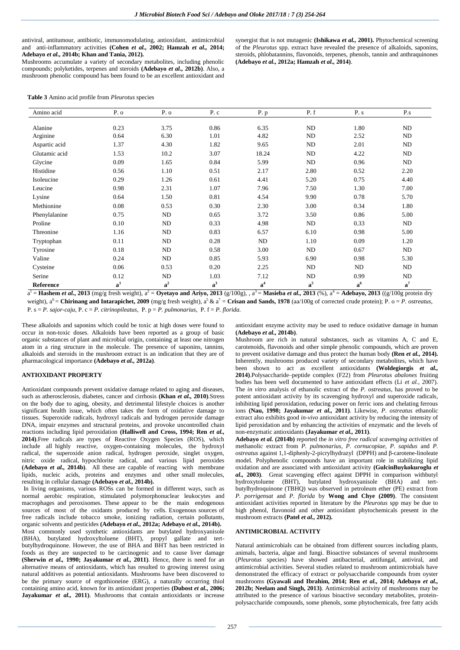antiviral, antitumour, antibiotic, immunomodulating, antioxidant, antimicrobial and anti-inflammatory activities **(Cohen** *et al.,* **2002; Hamzah** *et al.,* **2014; Adebayo** *et al.,* **2014b; Khan and Tania, 2012).**

Mushrooms accumulate a variety of secondary metabolites, including phenolic compounds; polyketides, terpenes and steroids **(Adebayo** *et al.,* **2012b)**. Also, a mushroom phenolic compound has been found to be an excellent antioxidant and

synergist that is not mutagenic **(Ishikawa** *et al.,* **2001).** Phytochemical screening of the *Pleurotus* spp. extract have revealed the presence of alkaloids, saponins, steroids, phlobatannins, flavonoids, terpenes, phenols, tannin and anthraquinones **(Adebayo** *et al.,* **2012a; Hamzah** *et al.,* **2014)**.

**Table 3** Amino acid profile from *Pleurotus* species

| Amino acid    | $P. \ o$       | P. o  | P.c   | P. p           | P. f  | P. s           | P.s            |
|---------------|----------------|-------|-------|----------------|-------|----------------|----------------|
|               |                |       |       |                |       |                |                |
| Alanine       | 0.23           | 3.75  | 0.86  | 6.35           | ND    | 1.80           | ND             |
| Arginine      | 0.64           | 6.30  | 1.01  | 4.82           | ND    | 2.52           | ND             |
| Aspartic acid | 1.37           | 4.30  | 1.82  | 9.65           | ND    | 2.01           | ND             |
| Glutamic acid | 1.53           | 10.2  | 3.07  | 18.24          | ND    | 4.22           | ND             |
| Glycine       | 0.09           | 1.65  | 0.84  | 5.99           | ND    | 0.96           | ND             |
| Histidine     | 0.56           | 1.10  | 0.51  | 2.17           | 2.80  | 0.52           | 2.20           |
| Isoleucine    | 0.29           | 1.26  | 0.61  | 4.41           | 5.20  | 0.75           | 4.40           |
| Leucine       | 0.98           | 2.31  | 1.07  | 7.96           | 7.50  | 1.30           | 7.00           |
| Lysine        | 0.64           | 1.50  | 0.81  | 4.54           | 9.90  | 0.78           | 5.70           |
| Methionine    | 0.08           | 0.53  | 0.30  | 2.30           | 3.00  | 0.34           | 1.80           |
| Phenylalanine | 0.75           | ND    | 0.65  | 3.72           | 3.50  | 0.86           | 5.00           |
| Proline       | 0.10           | ND    | 0.33  | 4.98           | ND    | 0.33           | ND             |
| Threonine     | 1.16           | ND    | 0.83  | 6.57           | 6.10  | 0.98           | 5.00           |
| Tryptophan    | 0.11           | ND    | 0.28  | ND             | 1.10  | 0.09           | 1.20           |
| Tyrosine      | 0.18           | ND    | 0.58  | 3.00           | ND    | 0.67           | ND             |
| Valine        | 0.24           | ND    | 0.85  | 5.93           | 6.90  | 0.98           | 5.30           |
| Cysteine      | 0.06           | 0.53  | 0.20  | 2.25           | ND    | ND             | ND             |
| Serine        | 0.12           | ND    | 1.03  | 7.12           | ND    | 0.99           | ND             |
| Reference     | a <sup>1</sup> | $a^2$ | $a^3$ | a <sup>4</sup> | $a^5$ | $\mathbf{a}^6$ | $\mathbf{a}^7$ |

 $a^1$  = **Hashem** *et al.***, 2013** (mg/g fresh weight),  $a^2$  = **Oyetayo and Ariyo, 2013** (g/100g),  $a^3$  = **Masieba** *et al.***, 2013** (%),  $a^4$  = **Adebayo, 2013** ((g/100g protein dry weight),  $a^6$  = **Chirinang and Intarapichet, 2009** (mg/g fresh weight),  $a^5 \& a^7$  = **Crisan and Sands, 1978** (aa/100g of corrected crude protein); P. o = P. ostreatus, P. s = *P. sajor-caju*, P. c = *P. citrinopileatus*, P. p = *P. pulmonarius*, P. f = *P. florida.*

These alkaloids and saponins which could be toxic at high doses were found to occur in non-toxic doses. Alkaloids have been reported as a group of basic organic substances of plant and microbial origin, containing at least one nitrogen atom in a ring structure in the molecule. The presence of saponins, tannins, alkaloids and steroids in the mushroom extract is an indication that they are of pharmacological importance **(Adebayo** *et al.,* **2012a)**.

### **ANTIOXIDANT PROPERTY**

Antioxidant compounds prevent oxidative damage related to aging and diseases, such as atherosclerosis, diabetes, cancer and cirrhosis **(Khan** *et al.,* **2010)**.Stress on the body due to aging, obesity, and detrimental lifestyle choices is another significant health issue, which often takes the form of oxidative damage to tissues. Superoxide radicals, hydroxyl radicals and hydrogen peroxide damage DNA, impair enzymes and structural proteins, and provoke uncontrolled chain reactions including lipid peroxidation **(Halliwell and Cross, 1994; Ren** *et al.,* **2014)**.Free radicals are types of Reactive Oxygen Species (ROS), which include all highly reactive, oxygen-containing molecules, the hydroxyl radical, the superoxide anion radical, hydrogen peroxide, singlet oxygen, nitric oxide radical, hypochlorite radical, and various lipid peroxides **(Adebayo** *et al.,* **2014b)**. All these are capable of reacting with membrane lipids, nucleic acids, proteins and enzymes and other small molecules, resulting in cellular damage **(Adebayo** *et al.,* **2014b).**

In living organisms, various ROSs can be formed in different ways, such as normal aerobic respiration, stimulated polymorphonuclear leukocytes and macrophages and peroxisomes. These appear to be the main endogenous sources of most of the oxidants produced by cells. Exogenous sources of free radicals include tobacco smoke, ionizing radiation, certain pollutants, organic solvents and pesticides **(Adebayo** *et al.,* **2012a; Adebayo** *et al.,* **2014b).** Most commonly used synthetic antioxidants are butylated hydroxyanisole (BHA), butylated hydroxyltoluene (BHT), propyl gallate and tertbutylhydroquinone. However, the use of BHA and BHT has been restricted in foods as they are suspected to be carcinogenic and to cause liver damage **(Sherwin** *et al.,* **1990; Jayakumar** *et al.,* **2011)**. Hence, there is need for an alternative means of antioxidants, which has resulted to growing interest using natural additives as potential antioxidants. Mushrooms have been discovered to be the primary source of ergothioneine (ERG), a naturally occurring thiol containing amino acid, known for its antioxidant properties **(Dubost** *et al.,* **2006; Jayakumar** *et al.,* **2011)**. Mushrooms that contain antioxidants or increase

antioxidant enzyme activity may be used to reduce oxidative damage in human **(Adebayo** *et al.,* **2014b)**.

Mushroom are rich in natural substances, such as vitamins A, C and E, carotenoids, flavonoids and other simple phenolic compounds, which are proven to prevent oxidative damage and thus protect the human body **(Ren** *et al.,* **2014).** Inherently, mushrooms produced variety of secondary metabolites, which have been shown to act as excellent antioxidants **(Woldegiorgis** *et al.,* **2014)**.Polysaccharide–peptide complex (F22) from *Pleurotus abalones* fruiting bodies has been well documented to have antioxidant effects (Li *et al.,* 2007). The *in vitro* analysis of ethanolic extract of the *P. ostreatus*, has proved to be potent antioxidant activity by its scavenging hydroxyl and superoxide radicals, inhibiting lipid peroxidation, reducing power on ferric ions and chelating ferrous ions **(Nau, 1998; Jayakumar** *et al.,* **2011)**. Likewise, *P. ostreatus* ethanolic extract also exhibits good *in-vivo* antioxidant activity by reducing the intensity of lipid peroxidation and by enhancing the activities of enzymatic and the levels of non-enzymatic antioxidants **(Jayakumar** *et al.,* **2011)**.

**Adebayo** *et al.* **(2014b)** reported the *in vitro free radical scavenging activities* of methanolic extract from *P. pulmonarius, P. cornucopiae, P. sapidus* and *P. ostreatus* against 1,1-diphenly-2-picrylhydrazyl (DPPH) and β-carotene-linoleate model. Polyphenolic compounds have an important role in stabilizing lipid oxidation and are associated with antioxidant activity **(GulcinBuykokuroglu** *et al.,* **2003)**. Great scavenging effect against DPPH in comparison withbutyl hydroxytoluene (BHT), butylated hydroxyanisole (BHA) and tertbutylhydroquinone (TBHQ) was observed in petroleum ether (PE) extract from *P. porrigensat* and *P. florida* by **Wong and Chye (2009)**. The consistent antioxidant activities reported in literature by the *Pleurotus* spp may be due to high phenol, flavonoid and other antioxidant phytochemicals present in the mushroom extracts **(Patel** *et al.,* **2012).**

## **ANTIMICROBIAL ACTIVITY**

Natural antimicrobials can be obtained from different sources including plants, animals, bacteria, algae and fungi. Bioactive substances of several mushrooms (*Pleurotus* species) have showed antibacterial, antifungal, antiviral, and antimicrobial activities. Several studies related to mushroom antimicrobials have demonstrated the efficacy of extract or polysaccharide compounds from oyster mushrooms **(Gyawali and Ibrahim, 2014; Ren** *et al.,* **2014; Adebayo** *et al.,* **2012b; Neelam and Singh, 2013)**. Antimicrobial activity of mushrooms may be attributed to the presence of various bioactive secondary metabolites, proteinpolysaccharide compounds, some phenols, some phytochemicals, free fatty acids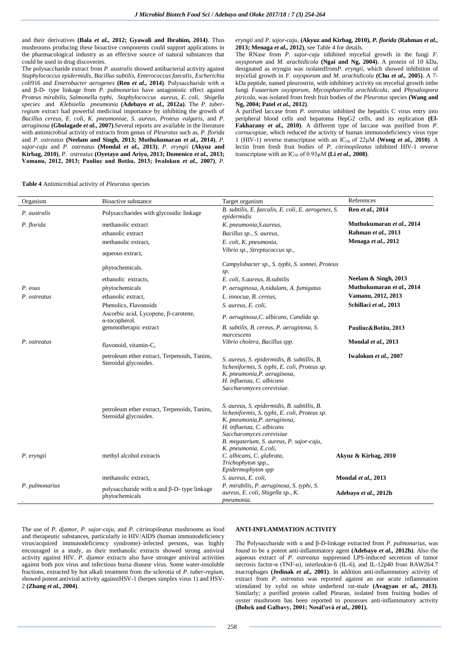and their derivatives **(Bala** *et al.,* **2012; Gyawali and Ibrahim, 2014)**. Thus mushrooms producing these bioactive components could support applications in the pharmacological industry as an effective source of natural substances that could be used in drug discoveries.

The polysaccharide extract from *P. australis* showed antibacterial activity against *Staphylococcus epidermidis, Bacillus subtilis, Enterococcus faecalis, Escherichia coli*916 and *Enterobacter aerogenes* **(Ren** *et al.,* **2014)**. Polysaccharide with α and β-D- type linkage from *P. pulmonarius* have antagonistic effect against *Proteus mirabilis, Salmonella typhi, Staphylococcus aureus, E. coli, Shigella species* and *Klebsiella pneumonia* **(Adebayo** *et al.,* **2012a)**. The *P. tuberregium* extract had powerful medicinal importance by inhibiting the growth of *Bacillus cereus, E. coli, K. pneumoniae, S. aureus, Proteus vulgaris,* and *P. aeruginosa* **(Gbolagade** *et al.,* **2007)***.*Several reports are available in the literature with antimicrobial activity of extracts from genus of *Pleurotus* such as, *P. florida*  and *P. ostreatus* **(Neelam and Singh, 2013; Muthukumaran** *et al.,* **2014)**, *P. sajor-caju* and *P. ostreatus* **(Mondal** *et al.,* **2013)**, *P. eryngii* **(Akyuz and Kirbag, 2010)**, *P. ostreatus* **(Oyetayo and Ariyo, 2013; Domenico** *et al.,* **2013; Vamanu, 2012, 2013; Pauliuc and Botău, 2013; Iwalokun** *et al.,* **2007)**, *P.* 

*eryngii* and *P. sajor-caju,* **(Akyuz and Kirbag, 2010),** *P. florida* **(Rahman** *et al.,* **2013; Menaga** *et al.,* **2012)**, see Table 4 for details.

The RNase from *P. sajor-caju* inhibited mycelial growth in the fungi *F. oxysporum* and *M. arachidicola* **(Ngai and Ng, 2004)**. A protein of 10 kDa, designated as eryngin was isolatedfrom*P. eryngii*, which showed inhibition of mycelial growth in *F. oxysporum* and *M. arachidicola* **(Chu** *et al.,* **2005)**. A 7 kDa peptide, named pleurostrin, with inhibitory activity on mycelial growth inthe fungi *Fusaerium oxysporum, Mycosphaerella arachidicola*, and *Physalospora piricola*, was isolated from fresh fruit bodies of the *Pleurotus* species **(Wang and Ng, 2004; Patel** *et al.,* **2012)**.

A purified laccase from *P. ostreatus* inhibited the hepatitis C virus entry into peripheral blood cells and hepatoma HepG2 cells, and its replication **(El-Fakharany** *et al.,* **2010)**. A different type of laccase was purified from *P. cornucopiae*, which reduced the activity of human immunodeficiency virus type 1 (HIV-1) reverse transcriptase with an  $IC_{50}$  of 22 $\mu$ M **(Wong** *et al.***, 2010**). A lectin from fresh fruit bodies of *P. citrinopileatus* inhibited HIV-1 reverse transcriptase with an  $IC_{50}$  of 0.93 $\mu$ M (**Li** *et al.***, 2008**).

**Table 4** Antimicrobial activity of *Pleurotus* species

| Organism       | <b>Bioactive substance</b>                                                  | Target organism                                                                                                                                                                                                                   | References                |
|----------------|-----------------------------------------------------------------------------|-----------------------------------------------------------------------------------------------------------------------------------------------------------------------------------------------------------------------------------|---------------------------|
| P. australis   | Polysaccharides with glycosidic linkage                                     | B. subtilis, E. faecalis, E. coli, E. aerogenes, S.<br>epidermidis                                                                                                                                                                | Ren et al., 2014          |
| P. florida     | methanolic extract                                                          | K. pneumonia, S. aureus,                                                                                                                                                                                                          | Muthukumaran et al., 2014 |
|                | ethanolic extract                                                           | Bacillus sp., S. aureus,                                                                                                                                                                                                          | Rahman et al., 2013       |
|                | methanolic extract,                                                         | E. coli, K. pneumonia,                                                                                                                                                                                                            | Menaga et al., 2012       |
|                | aqueous extract,                                                            | Vibrio sp., Streptococcus sp.,                                                                                                                                                                                                    |                           |
|                | phytochemicals.                                                             | Campylobacter sp., S. typhi, S. sonnei, Proteus<br>sp.                                                                                                                                                                            |                           |
|                | ethanolic extracts.                                                         | E. coli, S.aureus, B.subtilis                                                                                                                                                                                                     | Neelam & Singh, 2013      |
| P. eous        | phytochemicals                                                              | P. aeruginosa, A.nidulans, A. fumigatus                                                                                                                                                                                           | Muthukumaran et al., 2014 |
| P. ostreatus   | ethanolic extract.                                                          | L. innocua, B. cereus,                                                                                                                                                                                                            | Vamanu, 2012, 2013        |
|                | Phenolics, Flavonoids                                                       | S. aureus, E. coli,                                                                                                                                                                                                               | Schillaci et al., 2013    |
|                | Ascorbic acid, Lycopene, β-carotene,<br>$\alpha$ -tocopherol.               | P. aeruginosa, C. albicans, Candida sp.                                                                                                                                                                                           |                           |
|                | gemmotherapic extract                                                       | B. subtilis, B. cereus, P. aeruginosa, S.<br>marcescens                                                                                                                                                                           | Pauliuc&Botău, 2013       |
| P. ostreatus   | flavonoid, vitamin-C,                                                       | Vibrio cholera, Bacillus spp.                                                                                                                                                                                                     | Mondal et al., 2013       |
|                | petroleum ether extract, Terpenoids, Tanins,<br>Steroidal glycosides.       | S. aureus, S. epidermidis, B. subtillis, B.<br>licheniformis, S. typhi, E. coli, Proteus sp.<br>K. pneumonia, P. aeruginosa,<br>H. influenza, C. albicans<br>Saccharomyces cerevisiae.                                            | Iwalokun et al., 2007     |
|                | petroleum ether extract, Terpenoids, Tanins,<br>Steroidal glycosides.       | S. aureus, S. epidermidis, B. subtillis, B.<br>licheniformis, S. typhi, E. coli, Proteus sp.<br>K. pneumonia, P. aeruginosa,<br>H. influenza, C. albicans<br>Saccharomyces cerevisiae<br>B. megaterium, S. aureus, P. sajor-caju, |                           |
| P. eryngii     | methyl alcohol extracts                                                     | K. pneumonia, E.coli,<br>C. albicans, C. glabrata,<br>Trichophyton spp.,<br>Epidermophyton spp                                                                                                                                    | Akyuz & Kirbag, 2010      |
|                | methanolic extract,                                                         | S. aureus, E. coli,                                                                                                                                                                                                               | Mondal et al., 2013       |
| P. pulmonarius | polysaccharide with $\alpha$ and $\beta$ -D- type linkage<br>phytochemicals | P. mirabilis, P. aeruginosa, S. typhi, S.<br>aureus, E. coli, Shigella sp., K.<br>pneumonia.                                                                                                                                      | Adebayo et al., 2012b     |

The use of *P. djamor, P. sajor-caju,* and *P. citrinopileatus* mushrooms as food and therapeutic substances, particularly in HIV/AIDS (human immunodeficiency virus/acquired immunodeficiency syndrome)–infected persons, was highly encouraged in a study, as their methanolic extracts showed strong antiviral activity against HIV. *P. djamor* extracts also have stronger antiviral activities against both pox virus and infectious bursa disease virus. Some water-insoluble fractions, extracted by hot alkali treatment from the sclerotia of *P. tuber-regium,* showed potent antiviral activity againstHSV-1 (herpes simplex virus 1) and HSV-2 **(Zhang** *et al.,* **2004)**.

# **ANTI-INFLAMMATION ACTIVITY**

The Polysaccharide with α and β-D-linkage extracted from *P. pulmonarius*, was found to be a potent anti-inflammatory agent **(Adebayo** *et al.,* **2012b)**. Also the aqueous extract of *P. ostreatus* suppressed LPS-induced secretion of tumor necrosis factor-α (TNF-α), interleukin-6 (IL-6), and IL-12p40 from RAW264.7 macrophages **(Jedinak** *et al.,* **2001)**. In addition anti-inflammatory activity of extract from *P. ostreatus* was reported against an ear acute inflammation stimulated by xylol on white underbred rat-male **(Avagyan** *et al.,* **2013)**. Similarly; a purified protein called Pleuran, isolated from fruiting bodies of oyster mushroom has been reported to possesses anti-inflammatory activity **(Bobek and Galbavy, 2001; Nosál'ová** *et al.,* **2001).**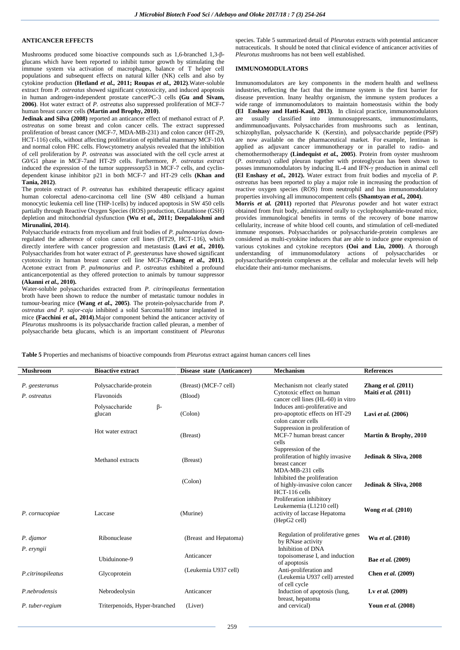# **ANTICANCER EFFECTS**

Mushrooms produced some bioactive compounds such as 1,6-branched 1,3-βglucans which have been reported to inhibit tumor growth by stimulating the immune system via activation of macrophages, balance of T helper cell populations and subsequent effects on natural killer (NK) cells and also by cytokine production **(Hetland** *et al.,* **2011; Roupas** *et al.,* **2012)**.Water-soluble extract from *P. ostreatus* showed significant cytotoxicity, and induced apoptosis in human androgen-independent prostate cancerPC-3 cells **(Gu and Sivam, 2006)**. Hot water extract of *P. ostreatus* also suppressed proliferation of MCF-7 human breast cancer cells **(Martin and Brophy, 2010)**.

**Jedinak and Silva (2008)** reported an anticancer effect of methanol extract of *P. ostreatus* on some breast and colon cancer cells. The extract suppressed proliferation of breast cancer (MCF-7, MDA-MB-231) and colon cancer (HT-29, HCT-116) cells, without affecting proliferation of epithelial mammary MCF-10A and normal colon FHC cells. Flowcytometry analysis revealed that the inhibition of cell proliferation by *P. ostreatus* was associated with the cell cycle arrest at G0/G1 phase in MCF-7and HT-29 cells. Furthermore, *P. ostreatus extract*  induced the expression of the tumor suppressorp53 in MCF-7 cells, and cyclindependent kinase inhibitor p21 in both MCF-7 and HT-29 cells **(Khan and Tania, 2012)**.

The protein extract of *P. ostreatus* has exhibited therapeutic efficacy against human colorectal adeno-carcinoma cell line (SW 480 cells)and a human monocytic leukemia cell line (THP-1cells) by induced apoptosis in SW 450 cells partially through Reactive Oxygen Species (ROS) production, Glutathione (GSH) depletion and mitochondrial dysfunction **(Wu** *et al.,* **2011; Deepalakshmi and Mirunalini, 2014)**.

Polysaccharide extracts from mycelium and fruit bodies of *P. pulmonarius* downregulated the adherence of colon cancer cell lines (HT29, HCT-116), which directly interfere with cancer progression and metastasis **(Lavi** *et al.,* **2010).** Polysaccharides from hot water extract of *P. geesteranus* have showed significant cytotoxicity in human breast cancer cell line MCF-7**(Zhang** *et al.,* **2011)**. Acetone extract from *P. pulmonarius* and *P. ostreatus* exhibited a profound anticancerpotential as they offered protection to animals by tumour suppressor **(Akanni** *et al.,* **2010).**

Water-soluble polysaccharides extracted from *P. citrinopileatus* fermentation broth have been shown to reduce the number of metastatic tumour nodules in tumour-bearing mice **(Wang** *et al.,* **2005)**. The protein-polysaccharide from *P. ostreatus and P. sajor-caju* inhibited a solid Sarcoma180 tumor implanted in mice **(Facchini** *et al.,* **2014)**.Major component behind the anticancer activity of *Pleurotus* mushrooms is its polysaccharide fraction called pleuran, a member of polysaccharide beta glucans, which is an important constituent of *Pleurotus* species. Table 5 summarized detail of *Pleurotus* extracts with potential anticancer nutraceuticals. It should be noted that clinical evidence of anticancer activities of *Pleurotus* mushrooms has not been well established.

#### **IMMUNOMODULATORS**

Immunomodulators are key components in the modern health and wellness industries, reflecting the fact that the immune system is the first barrier for disease prevention. Inany healthy organism, the immune system produces a wide range of immunomodulators to maintain homeostasis within the body **(El Enshasy and Hatti-Kaul, 2013)**. In clinical practice, immunomodulators are usually classified into immunosuppressants, immunostimulants, andimmunoadjuvants. Polysaccharides from mushrooms such as lentinan, schizophyllan, polysaccharide K (Kerstin), and polysaccharide peptide (PSP) are now available on the pharmaceutical market. For example, lentinan is applied as adjuvant cancer immunotherapy or in parallel to radio- and chemothermotherapy **(Lindequist** *et al.,* **2005)**. Protein from oyster mushroom (*P. ostreatus*) called pleuran together with proteoglycan has been shown to posses immunomodulators by inducing IL-4 and IFN-γ production in animal cell **(El Enshasy** *et al.,* **2012).** Water extract from fruit bodies and mycelia of *P. ostreatus* has been reported to play a major role in increasing the production of reactive oxygen species (ROS) from neutrophil and has immunomodulatory properties involving all immunocompentent cells **(Shamtsyan** *et al.,* **2004)**.

**Morris** *et al.* **(2011)** reported that *Pleurotus* powder and hot water extract obtained from fruit body, administered orally to cyclophosphamide-treated mice, provides immunological benefits in terms of the recovery of bone marrow cellularity, increase of white blood cell counts, and stimulation of cell-mediated immune responses. Polysaccharides or polysaccharide-protein complexes are considered as multi-cytokine inducers that are able to induce gene expression of various cytokines and cytokine receptors **(Ooi and Liu, 2000)**. A thorough understanding of immunomodulatory actions of polysaccharides or polysaccharide-protein complexes at the cellular and molecular levels will help elucidate their anti-tumor mechanisms.

**Table 5** Properties and mechanisms of bioactive compounds from *Pleurotus* extract against human cancers cell lines

| <b>Mushroom</b>         | <b>Bioactive extract</b>       | Disease state (Anticancer) | Mechanism                                                                                           | <b>References</b>     |
|-------------------------|--------------------------------|----------------------------|-----------------------------------------------------------------------------------------------------|-----------------------|
| P. geesteranus          | Polysaccharide-protein         | (Breast) (MCF-7 cell)      | Mechanism not clearly stated                                                                        | Zhang et al. $(2011)$ |
| P. ostreatus            | Flavonoids                     | (Blood)                    | Cytotoxic effect on human<br>cancer cell lines (HL-60) in vitro                                     | Maiti et al. (2011)   |
|                         | β-<br>Polysaccharide<br>glucan | (Colon)                    | Induces anti-proliferative and<br>pro-apoptotic effects on HT-29<br>colon cancer cells              | Lavi et al. (2006)    |
|                         | Hot water extract              | (Breast)                   | Suppression in proliferation of<br>MCF-7 human breast cancer<br>cells                               | Martin & Brophy, 2010 |
|                         | Methanol extracts              | (Breast)                   | Suppression of the<br>proliferation of highly invasive<br>breast cancer                             | Jedinak & Sliva, 2008 |
|                         |                                | (Colon)                    | MDA-MB-231 cells<br>Inhibited the proliferation<br>of highly-invasive colon cancer<br>HCT-116 cells | Jedinak & Sliva, 2008 |
| P. cornucopiae          | Laccase                        | (Murine)                   | Proliferation inhibitory<br>Leukememia (L1210 cell)<br>activity of laccase Hepatoma<br>(HepG2 cell) | Wong et al. (2010)    |
| P. djamor<br>P. eryngii | Ribonuclease                   | (Breast and Hepatoma)      | Regulation of proliferative genes<br>by RNase activity<br>Inhibition of DNA                         | Wu et al. (2010)      |
|                         | Ubiduinone-9                   | Anticancer                 | topoisomerase I, and induction<br>of apoptosis                                                      | Bae et al. (2009)     |
| P.citrinopileatus       | Glycoprotein                   | (Leukemia U937 cell)       | Anti-proliferation and<br>(Leukemia U937 cell) arrested<br>of cell cycle                            | Chen et al. (2009)    |
| P.nebrodensis           | Nebrodeolysin                  | Anticancer                 | Induction of apoptosis (lung,                                                                       | Lv et al. $(2009)$    |
| P. tuber-regium         | Triterpenoids, Hyper-branched  | (Liver)                    | breast, hepatoma<br>and cervical)                                                                   | Youn et al. (2008)    |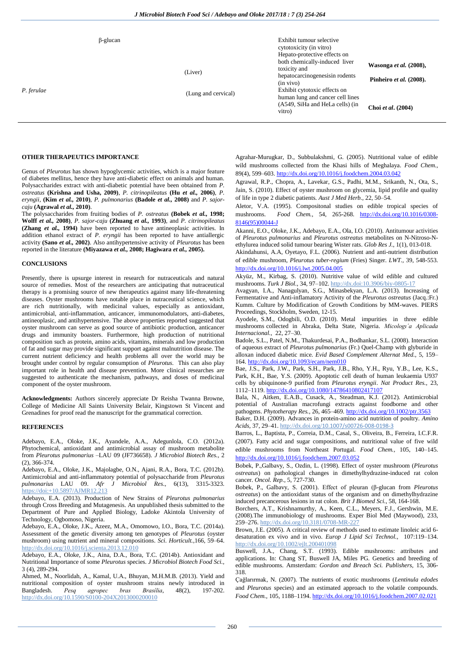| Hepato-protective effects on<br>both chemically-induced liver<br>toxicity and<br>(Liver)<br>hepatocarcinogenesisin rodents<br>(in vivo)<br>Exhibit cytotoxic effects on<br>P. ferulae<br>(Lung and cervical)<br>human lung and cancer cell lines | Wasonga et al. (2008),<br>Pinheiro et al. (2008).<br>Choi et al. (2004) |
|--------------------------------------------------------------------------------------------------------------------------------------------------------------------------------------------------------------------------------------------------|-------------------------------------------------------------------------|
|                                                                                                                                                                                                                                                  | (A549, SiHa and HeLa cells) (in                                         |

### **OTHER THERAPEUTICS IMPORTANCE**

Genus of *Pleurotus* has shown hypoglycemic activities, which is a major feature of diabetes mellitus, hence they have anti-diabetic effect on animals and human. Polysaccharides extract with anti-diabetic potential have been obtained from *P. ostreatus* **(Krishna and Usha, 2009)**, *P. citrinopileatus* **(Hu** *et al.,* **2006)**, *P. eryngii*, **(Kim** *et al.,* **2010)**, *P. pulmonarius* **(Badole** *et al.,* **2008)** and *P. sajorcaju* **(Agrawal** *et al.,* **2010)**.

The polysaccharides from fruiting bodies of *P. ostreatus* **(Bobek** *et al.,* **1998; Wolff** *et al.,* **2008)**, *P. sajor-caju* **(Zhuang** *et al.,* **1993)**, and *P. citrinopileatus* **(Zhang** *et al.,* **1994)** have been reported to have antineoplasic activities. In addition ethanol extract of *P. eryngii* has been reported to have antiallergic activity **(Sano** *et al.,* **2002)**. Also antihypertensive activity of *Pleurotus* has been reported in the literature **(Miyazawa** *et al.,* **2008; Hagiwara** *et al.,* **2005).**

# **CONCLUSIONS**

Presently, there is upsurge interest in research for nutraceuticals and natural source of remedies. Most of the researchers are anticipating that nutraceutical therapy is a promising source of new therapeutics against many life-threatening diseases. Oyster mushrooms have notable place in nutraceutical science, which are rich nutritionally, with medicinal values, especially as antioxidant, antimicrobial, anti-inflammation, anticancer, immunomodulators, anti-diabetes, antineoplasic, and antihypertensive. The above properties reported suggested that oyster mushroom can serve as good source of antibiotic production, anticancer drugs and immunity boasters. Furthermore, high production of nutritional composition such as protein, amino acids, vitamins, minerals and low production of fat and sugar may provide significant support against malnutrition disease. The current nutrient deficiency and health problems all over the world may be brought under control by regular consumption of *Pleurotus.* This can also play important role in health and disease prevention. More clinical researches are suggested to authenticate the mechanism, pathways, and doses of medicinal component of the oyster mushroom.

**Acknowledgments:** Authors sincerely appreciate Dr Reisha Twanna Browne, College of Medicine All Saints University Belair, Kingstown St Vincent and Grenadines for proof read the manuscript for the grammatical correction.

#### **REFERENCES**

Adebayo, E.A., Oloke, J.K., Ayandele, A.A., Adegunlola, C.O. (2012a). Phytochemical, antioxidant and antimicrobial assay of mushroom metabolite from *Pleurotus pulmonarius* –LAU 09 (JF736658)*. J Microbiol Biotech Res.,* 2 (2), 366-374.

Adebayo, E.A., Oloke, J.K., Majolagbe, O.N., Ajani, R.A., Bora, T.C. (2012b). Antimicrobial and anti-inflammatory potential of polysaccharide from *Pleurotus pulmonarius* LAU 09. *Afr J Microbiol Res*., 6(13), 3315-3323. https://doi:+10.5897/AJMR12.213

Adebayo, E.A. (2013). Production of New Strains of *Pleurotus pulmonarius* through Cross Breeding and Mutagenesis. An unpublished thesis submitted to the Department of Pure and Applied Biology, Ladoke Akintola University of Technology, Ogbomoso, Nigeria.

Adebayo, E.A., Oloke, J.K., Azeez, M.A., Omomowo, I.O., Bora, T.C. (2014a). Assessment of the genetic diversity among ten genotypes of *Pleurotus* (oyster mushroom) using nutrient and mineral compositions. *Sci. Horticult.,*166, 59–64. http://dx.doi.org/10.1016/j.scienta.2013.12.010

Adebayo, E.A., Oloke, J.K., Aina, D.A., Bora, T.C. (2014b). Antioxidant and Nutritional Importance of some *Pleurotus* species. *J Microbiol Biotech Food Sci.,* 3 (4), 289-294.

Ahmed, M., Noorlidah, A., Kamal, U.A., Bhuyan, M.H.M.B. (2013). Yield and nutritional composition of oyster mushroom strains newly introduced in Bangladesh. *Pesq agropec bras Brasília*, 48(2), 197-202. http://dx.doi.org/10.1590/S0100-204X2013000200010

Agrahar-Murugkar, D., Subbulakshmi, G. (2005). Nutritional value of edible wild mushrooms collected from the Khasi hills of Meghalaya. *Food Chem.,* 89(4), 599–603. <http://dx.doi.org/10.1016/j.foodchem.2004.03.042>

Agrawal, R.P., Chopra, A., Lavekar, G.S., Padhi, M.M., Srikanth, N., Ota, S., Jain, S. (2010). Effect of oyster mushroom on glycemia, lipid profile and quality of life in type 2 diabetic patients. *Aust J Med Herb.,* 22, 50–54.

Aletor, V.A. (1995). Compositonal studies on edible tropical species of mushrooms. *Food Chem.*, 54, 265-268. [http://dx.doi.org/10.1016/0308-](http://dx.doi.org/10.1016/0308-8146%2895%2900044-J) [8146\(95\)00044-J](http://dx.doi.org/10.1016/0308-8146%2895%2900044-J)

Akanni, E.O., Oloke, J.K., Adebayo, E.A., Ola, I.O. (2010). Antitumour activities of *Pleurotus pulmonarius* and *Pleurotus ostreatus* metabolites on N-Nitroso-Nethylurea induced solid tumour bearing Wister rats. *Glob Res J.,* 1(1), 013-018.

Akindahunsi, A.A, Oyetayo, F.L. (2006). Nutrient and anti-nutrient distribution of edible mushroom, *Pleurotus tuber-regium* (Fries) Singer. *LWT.,* 39, 548-553. <http://dx.doi.org/10.1016/j.lwt.2005.04.005>

Akyüz, M., Kirbag, S. (2010). Nutritive value of wild edible and cultured mushrooms. *Turk J Biol.,* 34, 97–102. http://dx.doi:10.3906/biy-0805-17

Avagyan, I.A., Nanagulyan, S.G., Minasbekyan, L.A. (2013). Increasing of Fermentative and Anti-inflamatory Activity of the *Pleurotus ostreatus* (Jacq.:Fr.) Kumm. Culture by Modification of Growth Conditions by MM-waves. PIERS Proceedings, Stockholm, Sweden, 12-15.

Ayodele, S.M., Odogbili, O.D. (2010). Metal impurities in three edible mushrooms collected in Abraka, Delta State, Nigeria. *Micologı´a Aplicada Internacional.,* 22, 27–30.

Badole, S.L., Patel, N.M., Thakurdesai, P.A., Bodhankar, S.L. (2008). Interaction of aqueous extract of *Pleurotus pulmonarius* (Fr.) Quel-Champ with glyburide in alloxan induced diabetic mice. *Evid Based Complement Alternat Med.,* 5, 159– 164. <http://dx.doi.org/10.1093/ecam/nem010>

Bae, J.S., Park, J.W., Park, S.H., Park, J.B., Rho, Y.H., Ryu, Y.B., Lee, K.S., Park, K.H., Bae, Y.S. (2009). Apoptotic cell death of human leukaemia U937 cells by ubiquinone-9 purified from *Pleurotus eryngii*. *Nat Product Res.,* 23, 1112–1119. <http://dx.doi.org/10.1080/14786410802417107>

Bala, N., Aitken, E.A.B., Cusack, A., Steadman, K.J. (2012). Antimicrobial potential of Australian macrofungi extracts against foodborne and other pathogens. *Phytotherapy Res.,* 26, 465–469. <http://dx.doi.org/10.1002/ptr.3563>

Baker, D.H. (2009). Advances in protein-amino acid nutrition of poultry. *Amino Acids,* 37, 29–41. http://dx.doi.org/10.1007/s00726-008-0198-3

Barros, L., Baptista, P., Correia, D.M., Casal, S., Oliveira, B., Ferreira, I.C.F.R. (2007). Fatty acid and sugar compositions, and nutritional value of five wild edible mushrooms from Northeast Portugal. *Food Chem.,* 105, 140–145. <http://dx.doi.org/10.1016/j.foodchem.2007.03.052>

Bobek, P.,Galbavy, S., Ozdin, L. (1998). Effect of oyster mushroom (*Pleurotus ostreatus*) on pathological changes in dimethylhydrazine-induced rat colon cancer. *Oncol. Rep.,* 5, 727-730.

Bobek, P., Galbavy, S. (2001). Effect of pleuran (β-glucan from *Pleurotus ostreatus*) on the antioxidant status of the organism and on dimethylhydrazine induced precancerous lesions in rat colon. *Brit J Biomed Sci.,* 58, 164-168.

Borchers, A.T., Krishnamurthy, A., Keen, C.L., Meyers, F.J., Gershwin, M.E. (2008).The immunobiology of mushrooms. Exper Biol Med (Maywood), 233, 259–276. http://dx.doi.org/10.3181/0708-MR-227

Brown, J.E. (2005). A critical review of methods used to estimate linoleic acid 6 desaturation ex vivo and in vivo. *Europ J Lipid Sci Technol.,* 107:119–134. http://dx.doi.org/10.1002/ejlt.200401098

Buswell, J.A., Chang, S.T. (1993). Edible mushrooms: attributes and applications. In: Chang ST, Buswell JA, Miles PG. Genetics and breeding of edible mushrooms. Amsterdam: *Gordon and Breach Sci. Publishers,* 15, 306- 318.

Çağlarırmak, N. (2007). The nutrients of exotic mushrooms (*Lentinula edodes* and *Pleurotus* species) and an estimated approach to the volatile compounds. *Food Chem.,* 105, 1188–1194. <http://dx.doi.org/10.1016/j.foodchem.2007.02.021>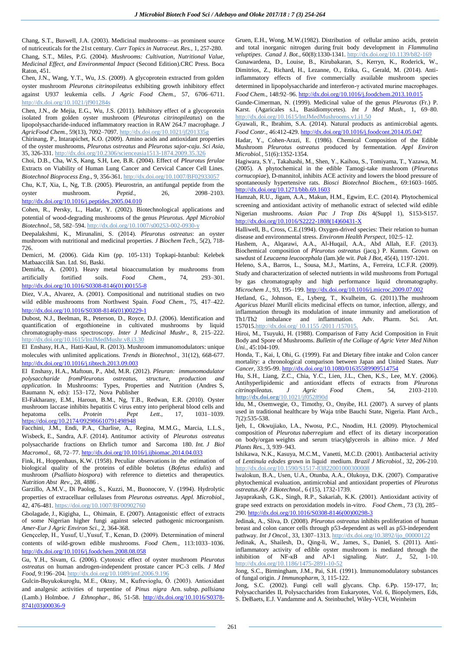Chang, S.T., Buswell, J.A. (2003). Medicinal mushrooms—as prominent source of nutriceuticals for the 21st century. *Curr Topics in Nutraceut. Res.,* 1, 257-280. Chang, S.T., Miles, P.G. (2004). *Mushrooms: Cultivation, Nutritional Value, Medicinal Effect, and Environmental Impact* (Second Edition).CRC Press. Boca Raton, 451.

Chen, J.N., Wang, Y.T., Wu, J.S. (2009). A glycoprotein extracted from golden oyster mushroom *Pleurotus citrinopileatus* exhibiting growth inhibitory effect against U937 leukemia cells. *J Agric Food Chem.,* 57, 6706–6711. http://dx.doi.org/10.1021/jf901284s

Chen, J.N., de Mejia, E.G., Wu, J.S. (2011). Inhibitory effect of a glycoprotein isolated from golden oyster mushroom (*Pleurotus citrinopileatus*) on the lipopolysaccharide-induced inflammatory reaction in RAW 264.7 macrophage. *J AgricFood Chem.,* 59(13), 7092–7097. http://dx.doi.org/10.1021/jf201335g

Chirinang, P., Intarapichet, K.O. (2009). Amino acids and antioxidant properties of the oyster mushrooms, *Pleurotus ostreatus* and *Pleurotus sajor-caju*. *Sci Asia*, 35, 326-331. http://dx.doi.org/10.2306/scienceasia1513-1874.2009.35.326

Choi, D.B., Cha, W.S, Kang, S.H, Lee, B.R. (2004). Effect of *Pleurotus ferulae*  Extracts on Viability of Human Lung Cancer and Cervical Cancer Cell Lines. *Biotechnol Bioprocess Eng.,* 9, 356-361. http://dx.doi.org/10.1007/BF02933057

Chu, K.T, Xia, L, Ng, T.B. (2005). Pleurostrin, an antifungal peptide from the oyster mushroom. *Peptid.,* 26, 2098–2103. <http://dx.doi.org/10.1016/j.peptides.2005.04.010>

Cohen, R., Persky, L., Hadar, Y. (2002). Biotechnological applications and potential of wood-degrading mushrooms of the genus *Pleurotus*. *Appl Microbiol Biotechnol*., 58, 582–594. http://dx.doi.org/10.1007/s00253-002-0930-y

Deepalakshmi, K., Mirunalini, S. (2014). *Pleurotus ostreatus*: an oyster mushroom with nutritional and medicinal properties. *J Biochem Tech.,* 5(2), 718- 726.

Demicri, M. (2006). Gida Kim (pp. 105-131) Topkapi-Istanbul: Kelebek Matbaaccilik San. Ltd. Sti, Baski.

Demirba, A. (2001). Heavy metal bioaccumulation by mushrooms from artificially fortified soils. *Food Chem.,* 74, 293–301. [http://dx.doi.org/10.1016/S0308-8146\(01\)00155-8](http://dx.doi.org/10.1016/S0308-8146%2801%2900155-8)

Diez, V.A., Alvarez, A. (2001). Compositional and nutritional studies on two wild edible mushrooms from Northwest Spain. *Food Chem.,* 75, 417–422. [http://dx.doi.org/10.1016/S0308-8146\(01\)00229-1](http://dx.doi.org/10.1016/S0308-8146%2801%2900229-1)

Dubost, N.J., Beelman, R., Peterson, D., Royce, D.J. (2006). Identification and quantification of ergothioneine in cultivated mushrooms by liquid chromatography-mass spectroscopy. *Inter J Medicinal Mushr.,* 8, 215–222. http://dx.doi.org/10.1615/IntJMedMushr.v8.i3.30

El Enshasy, H.A., Hatti-Kaul, R. (2013). Mushroom immunomodulators: unique molecules with unlimited applications. *Trends in Biotechnol.,* 31(12), 668-677. <http://dx.doi.org/10.1016/j.tibtech.2013.09.003>

El Enshasy, H.A., Maftoun, P., Abd, M.R. (2012). *Pleuran: immunomodulator polysaccharide fromPleurotus ostreatus, structure, production and application*. In Mushrooms: Types, Properties and Nutrition (Andres S, Baumann N, eds): 153–172, Nova Publisher

El-Fakharany, E.M., Haroun, B.M., Ng, T.B., Redwan, E.R. (2010). Oyster mushroom laccase inhibits hepatitis C virus entry into peripheral blood cells and hepatoma cells. *Protein Pept Lett.*,  $17$ ,  $1031-1039$ . hepatoma cells. *Protein Pept Lett.,* 17, 1031–1039. <https://doi.org/10.2174/092986610791498948>

Facchini, J.M., Endi, P.A., Charlise, A., Regina, M.M.G., Marcia, L.L.S., Wisbeck, E., Sandra, A.F. (2014). Antitumor activity of *Pleurotus ostreatus* polysaccharide fractions on Ehrlich tumor and Sarcoma 180. *Int. J Biol Macromol.,* 68, 72–77. <http://dx.doi.org/10.1016/j.ijbiomac.2014.04.033>

Fink, H., Hoppenhaus, K.W. (1958). Peculiar observations in the estimation of biological quality of the proteins of edible boletus (*Bofetus edulis*) and mushroom (*Psalliato biospora*) with reference to dietetics and therapeutics. *Nutrition Abst Rev.,* 28, 4886 .

Garzillo, A.M.V., Di Paolog, S., Kuzzi, M., Buonocore, V. (1994). Hydrolytic properties of extracelluar cellulases from *Pleurotus ostreatus. Appl. Microbiol.,* 42, 476-481. https://doi.org/10.1007/BF00902760

Gbolagade, J., Kigigha, L., Ohimain, E. (2007). Antagonistic effect of extracts of some Nigerian higher fungi against selected pathogenic microorganism. *Amer-Eur J Agric Environ Sci.,* 2, 364-368.

Gençcelep, H., Yusuf, U.,Yusuf, T., Kenan, D. (2009). Determination of mineral contents of wild-grown edible mushrooms. *Food Chem.,* 113:1033–1036. <http://dx.doi.org/10.1016/j.foodchem.2008.08.058>

Gu, Y.H., Sivam, G. (2006). Cytotoxic effect of oyster mushroom *Pleurotus ostreatus* on human androgen-independent prostate cancer PC-3 cells. *J Med Food,* 9:196–204. http://dx.doi.org/10.1089/jmf.2006.9.196

Gulcin-Buyukokuroglu, M.E., Oktay, M., Kufrevioglu, Ö. (2003). Antioxidant and analgesic activities of turpentine of *Pinus nigra* Arn. subsp. *pallsiana* (Lamb.) Holmboe. *J Ethnophar.,* 86, 51-58. [http://dx.doi.org/10.1016/S0378-](http://dx.doi.org/10.1016/S0378-8741%2803%2900036-9) [8741\(03\)00036-9](http://dx.doi.org/10.1016/S0378-8741%2803%2900036-9)

Gruen, E.H., Wong, M.W.(1982). Distribution of cellular amino acids, protein and total inorganic nitrogen during fruit body development in *Flammulina veluptipes*. *Canad J. Bot.,* 60(8):1330-1341. http://dx.doi.org/10.1139/b82-169 Gunawardena, D., Louise, B., Kirubakaran, S., Kerryn, K., Roderick, W.,

Dimitrios, Z., Richard, H., Lezanne, O., Erika, G., Gerald, M. (2014). Antiinflammatory effects of five commercially available mushroom species determined in lipopolysaccharide and interferon-γ activated murine macrophages. *Food Chem.,* 148:92–96[. http://dx.doi.org/10.1016/j.foodchem.2013.10.015](http://dx.doi.org/10.1016/j.foodchem.2013.10.015)

Gunde-Cimerman, N. (1999). Medicinal value of the genus *Pleurotus* (Fr.) P. Karst. (Agaricales s.l., Basidiomycetes). *Int J Med Mush.,* 1, 69–80. http://dx.doi.org/10.1615/IntJMedMushrooms.v1.i1.50

Gyawali, R., Ibrahim, S.A. (2014). Natural products as antimicrobial agents. *Food Contr.,* 46:412-429. <http://dx.doi.org/10.1016/j.foodcont.2014.05.047>

Hadar, Y., Cohen-Arazi, E. (1986). Chemical Composition of the Edible Mushroom *Pleurotus ostreatus* produced by fermentation. *Appl Environ Microbiol.,* 51(6):1352-1354.

Hagiwara, S.Y., Takahashi, M., Shen, Y., Kaihou, S., Tomiyama, T., Yazawa, M. (2005). A phytochemical in the edible Tamogi-take mushroom (*Pleurotus cornucopiae*), D-mannitol, inhibits ACE activity and lowers the blood pressure of spontaneously hypertensive rats. *Biosci Biotechnol Biochem.,* 69:1603–1605. <http://dx.doi.org/10.1271/bbb.69.1603>

Hamzah, R.U., Jigam, A.A., Makun, H.M., Egwim, E.C. (2014). Phytochemical screening and antioxidant activity of methanolic extract of selected wild edible Nigerian mushrooms. *Asian Pac J Trop Dis* 4(Suppl 1), S153-S157. [http://dx.doi.org/10.1016/S2222-1808\(14\)60431-X](http://dx.doi.org/10.1016/S2222-1808%2814%2960431-X)

Halliwell, B., Cross, C.E.(1994). Oxygen-drived species: Their relation to human disease and environmental stress. *Environm Health Perspect*, 102:5–12.

Hashem, A., Alqarawi, A.A., Al-Huqail, A.A., Abd Allah, E.F. (2013). Biochemical composition of *Pleurotus ostreatus* (jacq.) P. Kumm. Grown on sawdust of *Leucaena leucocephala* (lam.)de wit. *Pak J Bot,* 45(4), 1197-1201.

Heleno, S.A., Barros, L., Sousa, M.J., Martins, A., Ferreira, I.C.F.R. (2009). Study and characterization of selected nutrients in wild mushrooms from Portugal by gas chromatography and high performance liquid chromatography. *Microchem J.,* 93, 195–199. <http://dx.doi.org/10.1016/j.microc.2009.07.002>

Hetland, G., Johnson, E., Lyberg, T., Kvalheim, G. (2011).The mushroom *Agaricus blazei* Murill elicits medicinal effects on tumor, infection, allergy, and inflammation through its modulation of innate immunity and amelioration of Th1/Th2 imbalance and inflammation. Adv. Pharm. Sci. Art. 15701[5.http://dx.](http://dx/)doi.org/ 10.1155 /2011 /157015.

Hiroi, M., Tsuyuki, H. (1988). Comparison of Fatty Acid Composition in Fruit Body and Spore of Mushrooms. *Bulletin of the Collage of Agric Veter Med Nihon Uni.,* 45:104-109.

Honda, T., Kai, I, Ohi, G. (1999). Fat and Dietary fibre intake and Colon cancer mortality: a chronological comparison between Japan and United States. *Nutr Cancer,* 33:95-99. <http://dx.doi.org/10.1080/01635589909514754>

Hu, S.H., Liang, Z.C., Chia, Y.C., Lien, J.L., Chen, K.S., Lee, M.Y. (2006). Antihyperlipidemic and antioxidant effects of extracts from *Pleurotus citrinopileatus*. *J Agric Food Chem.,* 54, 2103–2110. **http://dx.doi.org/**10.1021/jf052890d

Idu, M., Osemwegie, O., Timothy, O., Onyibe, H.I. (2007). A survey of plants used in traditional healthcare by Waja tribe Bauchi State, Nigeria. Plant Arch., 7(2):535-538.

Ijeh, I., Okwujiako, I.A., Nwosu, P.C., Nnodim, H.I. (2009). Phytochemical composition of *Pleurotus tuberregium* and effect of its dietary incorporation on body/organ weights and serum triacylglycerols in albino mice. *J Med Plants Res.,* 3, 939–943.

Ishikawa, N.K., Kasuya, M.C.M., Vanetti, M.C.D. (2001). Antibacterial activity of *Lentinula edodes* grown in liquid medium. *Brazil J Microbiol.,* 32, 206-210. http://dx.doi.org/10.1590/S1517-83822001000300008

Iwalokun, B.A., Usen, U.A., Otunba, A.A., Olukoya, D.K. (2007). Comparative phytochemical evaluation, antimicrobial and antioxidant properties of *Pleurotus ostreatus.Afr J Biotechnol.,* 6 (15), 1732-1739.

Jayaprakash, G.K., Singh, R.P., Sakariah, K.K. (2001). Antioxidant activity of grape seed extracts on peroxidation models in-vitro. *Food Chem.,* 73 (3), 285– 290[. http://dx.doi.org/10.1016/S0308-8146\(00\)00298-3](http://dx.doi.org/10.1016/S0308-8146%2800%2900298-3)

Jedinak, A., Sliva, D. (2008). *Pleurotus ostreatus* inhibits proliferation of human breast and colon cancer cells through p53-dependent as well as p53-independent pathway. *Int J Oncol.,* 33, 1307–1313. http://dx.doi.org/10.3892/ijo\_00000122

Jedinak, A., Shailesh, D., Qing-li, W., James, S., Daniel, S. (2011). Antiinflammatory activity of edible oyster mushroom is mediated through the inhibition of NF-қB and AP-1 signaling. *Nutr. J.,* 52, 1-10. http://dx.doi.org/10.1186/1475-2891-10-52

Jong, S.C., Birmingham, J.M., Pai, S.H. (1991). Immunomodulatory substances of fungal origin. *J Immunopharm,* 3, 115-122.

Jong, S.C. (2002). Fungi cell wall glycans. Chp. 6.Pp. 159-177, In; Polysaccharides II, Polysaccharides from Eukaryotes, Vol. 6, Biopolymers, Eds, S. DeBaets, E.J. Vandamme and A. Steinbuchel, Wiley-VCH, Weinheim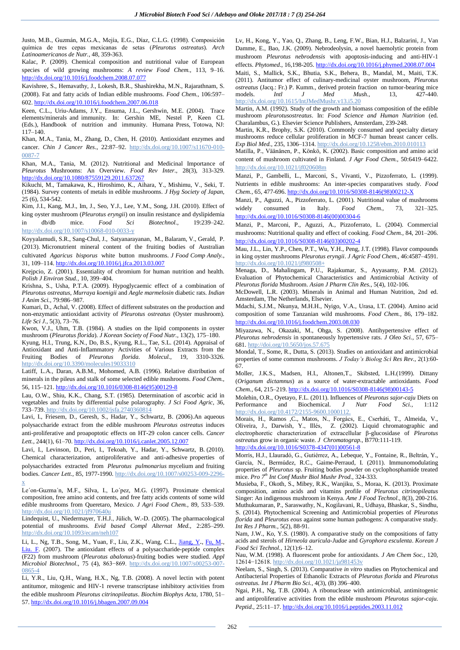Justo, M.B., Guzmán, M.G.A., Mejía, E.G., Díaz, C.L.G. (1998). Composición química de tres cepas mexicanas de setas (*Pleurotus ostreatus*). *Arch Latinoamericanos de Nutr.,* 48, 359-363.

Kalac, P. (2009). Chemical composition and nutritional value of European species of wild growing mushrooms: *A review Food Chem.,* 113, 9–16. <http://dx.doi.org/10.1016/j.foodchem.2008.07.077>

Kavishree, S., Hemavathy, J., Lokesh, B.R., Shashirekha, M.N., Rajarathnam, S. (2008). Fat and fatty acids of Indian edible mushrooms. *Food Chem.,* 106:597– 602. <http://dx.doi.org/10.1016/j.foodchem.2007.06.018>

Keen, C.L., Uriu-Adams, J.Y., Ensuma, J.L., Gershwin, M.E. (2004). Trace elements/minerals and immunity. In: Gershin ME, Nestel P, Keen CL (Eds.), Handbook of nutrition and immunity. Humana Press, Totowa, NJ: 117–140.

Khan, M.A., Tania, M., Zhang, D., Chen, H. (2010). Antioxidant enzymes and cancer. *Chin J Cancer Res*., 22:87–92. http://dx.doi.org/10.1007/s11670-010- 0087-7

Khan, M.A., Tania, M. (2012). Nutritional and Medicinal Importance of *Pleurotus* Mushrooms: An Overview. *Food Rev Inter.,* 28(3), 313-329. <http://dx.doi.org/10.1080/87559129.2011.637267>

Kikuchi, M., Tamakawa, K., Hiroshimo, K., Aihara, Y., Mishimu, V., Seki, T. (1984). Survey contents of metals in edible mushrooms. *J Hyg Society of Japan,* 25 (6), 534-542.

Kim, J.I., Kang, M.J., Im, J., Seo, Y.J., Lee, Y.M., Song, J.H. (2010). Effect of king oyster mushroom (*Pleurotus eryngii*) on insulin resistance and dyslipidemia in db/db mice. *Food Sci Biotechnol.,* 19:239–242. http://dx.doi.org/10.1007/s10068-010-0033-y

Koyyalamudi, S.R., Sang-Chul, J., Satyanarayanan, M., Balaram, V., Gerald, P. (2013). Micronutrient mineral content of the fruiting bodies of Australian cultivated *Agaricus bisporus* white button mushrooms. *J Food Comp Analy.*, 31, 109–114. <http://dx.doi.org/10.1016/j.jfca.2013.03.007>

Krejpcio, Z. (2001). Essentiality of chromium for human nutrition and health. *Polish J Environ Stud.,* 10, 399–404.

Krishna, S., Usha, P.T.A. (2009). Hypoglycaemic effect of a combination of *Pleurotus ostreatus*, *Murraya koenigii* and *Aegle marmelosin* diabetic rats. *Indian J Anim Sci.,* 79:986–987.

Kumari, D., Achal, V. (2008). Effect of different substrates on the production and non-enzymatic antioxidant activity of *Pleurotus ostreatus* (Oyster mushroom). *Life Sci J.,* 5(3), 73–76.

Kwon, V.J., Uhm, T.B. (1984). A studies on the lipid components in oyster mushroom (*Pleurotus florida*). *J Korean Society of Food Nutr.,* 13(2), 175–180.

Kyung, H.I., Trung, K.N., Do, B.S., Kyung, R.L., Tae, S.L. (2014). Appraisal of Antioxidant and Anti-Inflammatory Activities of Various Extracts from the Fruiting Bodies of *Pleurotus florida*. *Molecul.,* 19, 3310-3326. http://dx.doi.or[g/10.3390/molecules19033310](http://dx.doi.org/10.3390/molecules19033310)

Latiff, L.A., Daran, A.B.M., Mohomed, A.B. (1996). Relative distribution of minerals in the pileus and stalk of some selected edible mushrooms. *Food Chem.,* 56, 115–121. [http://dx.doi.org/10.1016/0308-8146\(95\)00129-8](http://dx.doi.org/10.1016/0308-8146%2895%2900129-8)

Lau, O.W., Shiu, K.K., Chang, S.T. (1985). Determination of ascorbic acid in vegetables and fruits by differential pulse polarography. *J Sci Food Agric,* 36, 733–739. http://dx.doi.org/10.1002/jsfa.2740360814

Lavi, I., Friesem, D., Geresh, S., Hadar, Y., Schwartz, B. (2006).An aqueous polysaccharide extract from the edible mushroom *Pleurotus ostreatus* induces anti-proliferative and proapoptotic effects on HT-29 colon cancer cells. *Cancer Lett.,* 244(1), 61–70. <http://dx.doi.org/10.1016/j.canlet.2005.12.007>

Lavi, I., Levinson, D., Peri, I., Tekoah, Y., Hadar, Y., Schwartz, B. (2010). Chemical characterization, antiproliferative and anti-adhesive properties of polysaccharides extracted from *Pleurotus pulmonarius* mycelium and fruiting bodies. *Cancer Lett.,* 85, 1977-1990. http://dx.doi.org/10.1007/s00253-009-2296 x

Le´on-Guzma´n, M.F., Silva, I., Lo´pez, M.G. (1997). Proximate chemical composition, free amino acid contents, and free fatty acids contents of some wild edible mushrooms from Queretaro, Mexico. *J Agri Food Chem.,* 89, 533–539. http://dx.doi.org/10.1021/jf970640u

Lindequist, U., Niedermayer, T.H.J., Jülich, W.-D. (2005). The pharmacological potential of mushrooms. *Evid based Compl Alternat Med.,* 2:285–299. http://dx.doi.org/10.1093/ecam/neh107

Li, L., Ng, T.B., Song, M., Yuan, F., Liu, Z.K., Wang, C.L., [Jiang,](http://www.ncbi.nlm.nih.gov/pubmed/?term=Jiang%20Y%5BAuthor%5D&cauthor=true&cauthor_uid=17347821) Y., [Fu,](http://www.ncbi.nlm.nih.gov/pubmed/?term=Fu%20M%5BAuthor%5D&cauthor=true&cauthor_uid=17347821) M., [Liu.](http://www.ncbi.nlm.nih.gov/pubmed/?term=Liu%20F%5BAuthor%5D&cauthor=true&cauthor_uid=17347821) F. (2007). The antioxidant effects of a polysaccharide-peptide complex (F22) from mushroom (*Pleurotus abalonus*)-fruiting bodies were studied. *Appl Microbiol Biotechnol.,* 75 (4), 863−869. http://dx.doi.org/10.1007/s00253-007- 0865-4

Li, Y.R., Liu, Q.H., Wang, H.X., Ng, T.B. (2008). A novel lectin with potent antitumor, mitogenic and HIV-1 reverse transcriptase inhibitory activities from the edible mushroom *Pleurotus citrinopileatus*. *Biochim Biophys Acta,* 1780, 51– 57. <http://dx.doi.org/10.1016/j.bbagen.2007.09.004>

Lv, H., Kong, Y., Yao, Q., Zhang, B., Leng, F.W., Bian, H.J., Balzarini, J., Van Damme, E., Bao, J.K. (2009). Nebrodeolysin, a novel haemolytic protein from mushroom *Pleurotus nebrodensis* with apoptosis-inducing and anti-HIV-1 effects. *Phytomed*., 16,198-205. <http://dx.doi.org/10.1016/j.phymed.2008.07.004> Maiti, S., Mallick, S.K., Bhutia, S.K., Behera, B., Mandal, M., Maiti, T.K. (2011). Antitumor effect of culinary-medicinal oyster mushroom, *Pleurotus ostreatus* (Jacq.: Fr.) P. Kumm., derived protein fraction on tumor-bearing mice models. *Intl J Med Mush.,* 13, 427-440.

http://dx.doi.org/10.1615/IntJMedMushr.v13.i5.20 Martin, A.M. (1992). Study of the growth and biomass composition of the edible mushroom *pleurotusostreatus*. In: *Food Science and Human Nutrition* (ed. Charalambus, G.). Elsevier Science Publishers, Amsterdam, 239-248.

Martin, K.R., Brophy, S.K. (2010). Commonly consumed and specialty dietary mushrooms reduce cellular proliferation in MCF-7 human breast cancer cells. *Exp Biol Med.,* 235, 1306–1314. http://dx.doi.org/10.1258/ebm.2010.010113

Matilla, P., Väänänen, P., Könkö, K. (2002). Basic composition and amino acid content of mushroom cultivated in Finland. *J Agr Food Chem.,* 50:6419–6422. http://dx.doi.org/10.1021/jf020608m

Manzi, P., Gambelli, L., Marconi, S., Vivanti, V., Pizzoferrato, L. (1999). Nutrients in edible mushrooms: An inter-species comparatives study. *Food Chem.,* 65, 477-696. [http://dx.doi.org/10.1016/S0308-8146\(98\)00212-X](http://dx.doi.org/10.1016/S0308-8146%2898%2900212-X)

Manzi, P., Aguzzi, A., Pizzoferrato, L. (2001). Nutritional value of mushrooms widely consumed in Italy. *Food Chem.,* 73, 321–325. [http://dx.doi.org/10.1016/S0308-8146\(00\)00304-6](http://dx.doi.org/10.1016/S0308-8146%2800%2900304-6)

Manzi, P., Marconi, P., Aguzzi, A., Pizzoferrato, L. (2004). Commercial mushrooms: Nutritional quality and effect of cooking. *Food Chem.,* 84, 201–206. [http://dx.doi.org/10.1016/S0308-8146\(03\)00202-4](http://dx.doi.org/10.1016/S0308-8146%2803%2900202-4)

Mau, J.L., Lin, Y.P., Chen, P.T., Wu, Y.H., Peng, J.T. (1998). Flavor compounds in king oyster mushrooms *Pleurotus eryngii*. *J Agric Food Chem.,* 46:4587–4591. http://dx.doi.org/10.1021/jf980508+

Menaga, D., Mahalingam, P.U., Rajakumar, S., Ayyasamy, P.M. (2012). Evaluation of Phytochemical Characteristics and Antimicrobial Activity of *Pleurotus florida* Mushroom. *Asian J Pharm Clin Res.,* 5(4), 102-106.

McDowell, L.R. (2003). Minerals in Animal and Human Nutrition, 2nd ed. Amsterdam, The Netherlands, Elsevier.

Mdachi, S.J.M., Nkunya, M.H.H., Nyigo, V.A., Urasa, I.T. (2004). Amino acid composition of some Tanzanian wild mushrooms. *Food Chem.,* 86, 179–182. <http://dx.doi.org/10.1016/j.foodchem.2003.08.030>

Miyazawa, N., Okazaki, M., Ohga, S. (2008). Antihypertensive effect of *Pleurotus nebrodensis* in spontaneously hypertensive rats. *J Oleo Sci.,* 57, 675– 681. http://doi.org/10.5650/jos.57.675

Mondal, T., Some, R., Dutta, S. (2013). Studies on antioxidant and antimicrobial properties of some common mushrooms. *J Today's Biolog Sci Res Rev.,* 2(1):60- 67.

Moller, J.K.S., Madsen, H.I., Altonen,T., Skibsted, L.H.(1999). Dittany (*Origanum dictamnus*) as a source of water-extractable antioxidants. *Food Chem.,* 64, 215–219. [http://dx.doi.org/10.1016/S0308-8146\(98\)00143-5](http://dx.doi.org/10.1016/S0308-8146%2898%2900143-5)

Molehin, O.R., Oyetayo, F.L. (2011). Influences of *Pleurotus sajor-caju* Diets on Performance and Biochemical. *J Nutr Food Sci.,* 1:112 http://dx.doi.org/10.4172/2155-9600.1000112.

Morais, H., Ramos ,C., Matos, N., Forgács, E., Cserháti, T., Almeida, V., Oliveira, J., Darwish, Y., Illés, Z. (2002). Liquid chromatographic and electrophoretic characterization of extracellular β-glucosidase of *Pleurotus ostreatus* grow in organic waste. *J Chromatograp.,* B770:111-119.

[http://dx.doi.org/10.1016/S0378-4347\(01\)00561-8](http://dx.doi.org/10.1016/S0378-4347%2801%2900561-8)

Morris, H.J., Llauradó, G., Gutiérrez, A., Lebeque, Y., Fontaine, R., Beltrán, Y., García, N., Bermúdez, R.C., Gaime-Perraud, I. (2011). Immunomodulating properties of *Pleurotus* sp. Fruiting bodies powder on cyclophosphamide treated mice. *Pro 7th Int Conf Mushr Biol Mushr Prod.,* 324-333.

Musieba, F., Okoth, S., Mibey, R.K., Wanjiku, S., Moraa, K. (2013). Proximate composition, amino acids and vitamins profile of *Pleurotus citrinopileatus* Singer: An indigenous mushroom in Kenya. *Ame J Food Technol.,* 8(3), 200-216. Muthukumaran, P., Saraswathy, N., Kogilavani, R., Udhaya, Bhaskar, S., Sindhu, S. (2014). Phytochemical Screening and Antimicrobial properties of *Pleurotus florida* and *Pleurotus eous* against some human pathogens: A comparative study. *Int Res J Pharm.,* 5(2), 88-91.

Nam, J.W., Ko, Y.S. (1980). A comparative study on the compositions of fatty acids and sterols of *Hirneola auricula-Judae* and *Gyrophora esculenta*. *Korean J Food Sci Technol.,* 12(1):6–12.

Nau, W.M. (1998). A fluorescent probe for antioxidants. *J Am Chem Soc.,* 120, 12614−12618. http://dx.doi.org/10.1021/ja981453v

Neelam, S., Singh, S. (2013). Comparative *in vitro* studies on Phytochemical and Antibacterial Properties of Ethanolic Extracts of *Pleurotus florida* and *Pleurotus ostreatus. Int J Pharm Bio Sci.,* 4(3), (B) 396–400.

Ngai, P.H., Ng, T.B. (2004). A ribonuclease with antimicrobial, antimitogenic and antiproliferative activities from the edible mushroom *Pleurotus sajor-caju*. *Peptid.,* 25:11–17. <http://dx.doi.org/10.1016/j.peptides.2003.11.012>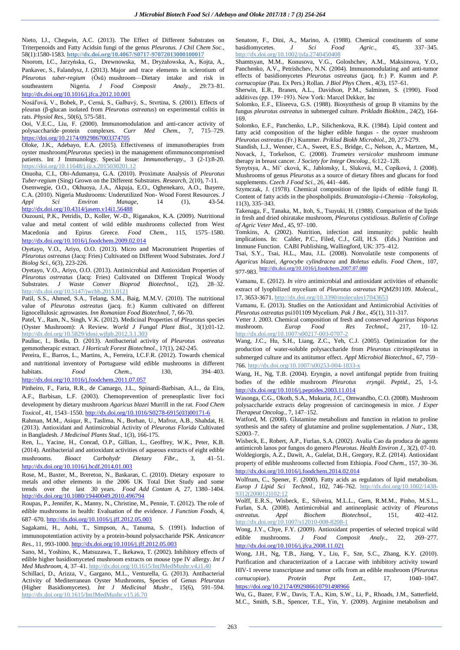Nieto, I.J., Chegwin, A.C. (2013). The Effect of Different Substrates on Triterpenoids and Fatty Acidsin fungi of the genus *Pleurotus. J Chil Chem Soc.,* 58(1):1580-1583. **http://dx.doi.org/10.4067/S0717-97072013000100017**

Nnorom, I.C., Jarzyńska, G., Drewnowska, M., Dryżałowska, A., Kojta, A., Pankavec, S., Falandysz, J. (2013). Major and trace elements in sclerotium of *Pleurotus tuber-regium* (Ósū) mushroom—Dietary intake and risk in southeastern Nigeria. *J Food Composit Analy.,* 29:73–81. <http://dx.doi.org/10.1016/j.jfca.2012.10.001>

Nosál'ová, V., Bobek, P., Cerná, S., Galbavý, S., Stvrtina, S. (2001). Effects of pleuran (β-glucan isolated from *Pleurotus ostreatus*) on experimental colitis in rats. *Physiol Res.,* 50(6), 575-581.

Ooi, V.E.C., Liu, F. (2000). Immunomodulation and anti-cancer activity of polysaccharide–protein complexes. *Curr Med Chem.,* 7, 715–729. <https://doi.org/10.2174/0929867003374705>

Oloke, J.K., Adebayo, E.A. (2015). Effectiveness of immunotherapies from oyster mushroom(*Pleurotus* species) in the management ofimmunocompromised patients. Int J Immunology. Special Issue: *Immunotherapy.,* 3 (2-1):8-20. https://doi.org/10.11648/j.iji.s.2015030201.12

Onuoha, C.I., Obi-Adumanya, G.A. (2010). Proximate Analysis of *Pleurotus Tuber-regium* (Sing) Grown on the Different Substrates. *Research*, 2(10), 7-11.

Osemwegie, O.O., Okhuoya, J.A., Akpaja, E.O., Oghenekaro, A.O., Ihayere, C.A. (2010). Nigeria Mushrooms: Underutilized Non- Wood Forest Resources. *J Appli Environ Manage,* 14 (1), <http://dx.doi.org/10.4314/jasem.v14i1.56488>

Ouzouni, P.K., Petridis, D., Koller, W.-D., Riganakos, K.A. (2009). Nutritional value and metal content of wild edible mushrooms collected from West Macedonia and Epirus Greece*. Food Chem.,* 115, 1575–1580. <http://dx.doi.org/10.1016/j.foodchem.2009.02.014>

Oyetayo, V.O., Ariyo, O.O. (2013). Micro and Macronutrient Properties of *Pleurotus ostreatus* (Jacq: Fries) Cultivated on Different Wood Substrates. *Jord J Biolog Sci.,* 6(3), 223-226.

Oyetayo, V.O., Ariyo, O.O. (2013). Antimicrobial and Antioxidant Properties of *Pleurotus ostreatus* (Jacq: Fries) Cultivated on Different Tropical Woody Substrates. *J Waste Conver Bioprod Biotechnol.,* 1(2), 28–32. http://dx.doi.org/10.5147/jwcbb.2013.0121

Patil, S.S., Ahmed, S.A., Telang, S.M., Baig, M.M.V. (2010). The nutritional value of *Pleurotus ostreatus* (jacq. fr.) Kumm cultivated on different lignocellulosic agrowastes. *Inn Romanian Food Biotechnol,* 7, 66-70.

Patel, Y., Ram, N., Singh, V.K. (2012). Medicinal Properties of *Pleurotus* species (Oyster Mushroom): A Review. *World J Fungal Plant Biol.,* 3(1):01-12. http://dx.doi.org/10.5829/idosi.wjfpb.2012.3.1.303

Pauliuc, I., Botău, D. (2013). Antibacterial activity of *Pleurotus ostreatus* gemmotherapic extract. *J Horticult Forest Biotechnol.,* 17(1), 242-245.

Pereira, E., Barros, L., Martins, A., Ferreira, I.C.F.R. (2012). Towards chemical and nutritional inventory of Portuguese wild edible mushrooms in different habitats. *Food Chem.,* 130, 394–403. <http://dx.doi.org/10.1016/j.foodchem.2011.07.057>

Pinheiro, F., Faria, R.R., de Camargo, J.L., Spinardi-Barbisan, A.L., da Eira, A.F., Barbisan, L.F. (2003). Chemoprevention of preneoplastic liver foci development by dietary mushroom *Agaricus blazei* Murrill in the rat. *Food Chem Toxicol.,* 41, 1543–1550. [http://dx.doi.org/10.1016/S0278-6915\(03\)00171-6](http://dx.doi.org/10.1016/S0278-6915%2803%2900171-6)

Rahman, M.M., Asiqur, R., Taslima, N., Borhan, U., Mafroz, A.B., Shahdat, H. (2013). Antioxidant and Antimicrobial Activity of *Pleurotus Florida* Cultivated in Bangladesh. *J Medicinal Plants Stud.,* 1(3), 166-175.

Ren, L., Yacine, H., Conrad, O.P., Gillian, L., Geoffrey, W.K., Peter, K.B. (2014). Antibacterial and antioxidant activities of aqueous extracts of eight edible mushrooms. *Bioact Carbohydr Dietary Fibr.,* 3, 41–51. <http://dx.doi.org/10.1016/j.bcdf.2014.01.003>

Rose, M., Baxter, M., Brereton, N., Baskaran, C. (2010). Dietary exposure to metals and other elements in the 2006 UK Total Diet Study and some trends over the last 30 years. *Food Add Contam A,* 27, 1380–1404. <http://dx.doi.org/10.1080/19440049.2010.496794>

Roupas, P., Jennifer, K., Manny, N., Christine, M., Pennie, T. (2012). The role of edible mushrooms in health: Evaluation of the evidence. *J Function Foods,* 4, 687–670. <http://dx.doi.org/10.1016/j.jff.2012.05.003>

Sagakami, H., Aohi, T., Simpson, A., Tanuma, S. (1991). Induction of immunopotentiation activity by a protein-bound polysaccharide PSK*. Anticancer Res.,* 11, 993-1000. <http://dx.doi.org/10.1016/j.jff.2012.05.003>

Sano, M., Yoshino, K., Matsuzawa, T., Ikekawa, T. (2002). Inhibitory effects of edible higher basidiomyceted mushroom extracts on mouse type IV allergy. *Int J Med Mushroom,* 4, 37–41. http://dx.doi.org/10.1615/IntJMedMushr.v4.i1.40

Schillaci, D., Arizza, V., Gargano, M.L., Venturella, G. (2013). Antibacterial Activity of Mediterranean Oyster Mushrooms, Species of Genus *Pleurotus* (Higher Basidiomycetes). *Int J Medicinal Mushr.,* 15(6), 591–594. http://dx.doi.org/10.1615/IntJMedMushr.v15.i6.70

Senatore, F., Dini, A., Marino, A. (1988). Chemical constituents of some basidiomycetes. J Sci Food Agric., 45, 337–345. basidiomycetes. *J Sci Food Agric.,* 45, 337–345. http://dx.doi.org/10.1002/jsfa.2740450408

Shamtsyan, M.M., Konusova, V.G., Goloshchev, A.M., Maksimova, Y.O., Panchenko, A.V., Petrishchev, N.N. (2004). Immunomodulating and anti-tumor effects of basidiomycetes *Pleurotus ostreatus* (jacq. fr.) P. Kumm and *P. cornucopiae* (Pau. Ex Pers.) Rollan. *J Biol Phys Chem.,* 4(3), 157–61.

Sherwin, E.R., Branen, A.L., Davidson, P.M., Salminen, S. (1990). Food additives (pp. 139−193). New York: Marcel Dekker, Inc

Solomko, E.F., Eliseeva, G.S. (1988). Biosynthesis of group B vitamins by the fungus *pleurotus ostreatus* in submerged culture. *Prikladn Biokhim.,* 24(2), 164- 169.

Solomko, E.F., Panchenko, L.P., Silichenkova, R.K. (1984). Lipid content and fatty acid composition of the higher edible fungus - the oyster mushroom *Pleurotus ostreatus* (Fr.) Kummer. *Priklad Biokh Microbiol.,* 20, 273-279.

Standish, L.J., Wenner, C.A., Sweet, E.S., Bridge, C., Nelson, A., Martzen, M., Novack, J., Torkelson, C. (2008). *Trametes versicolor* mushroom immune therapy in breast cancer. *J Society for Integr Oncolog.,* 6:122–128.

Synytsya, A., Míˇ cková, K., Jablonsky, I., Sluková, M., Copíková, J. (2008). Mushrooms of genus *Pleurotus* as a source of dietary fibres and glucans for food supplements. *Czech J Food Sci.,* 26, 441–446.

Szymczak, J. (1978). Chemical composition of the lipids of edible fungi II. Content of fatty acids in the phospholipids. *Bramatologia-i-Chemia –Toksykolog,* 11(3), 335–343.

Takenaga, F., Tanaka, M., Itoh, S., Tsuyuki, H. (1988). Comparison of the lipids in fresh and dried ohiratake mushroom, *Pleurotus cystidiosus*. *Bulletin of College of Agric Veter Med.,* 45, 97–100.

Tomkins, A. (2002). Nutrition, infection and immunity: public health implications. In: Calder, P.C., Filed, C.J., Gill, H.S. (Eds.) Nutrition and Immune Function. CABI Publishing, Wallingford, UK: 375–412.

Tsai, S.Y., Tsai, H.L., Mau, J.L. (2008). Nonvolatile teste components of *Agaricus blazei, Agrocybe cylindracea* and *Boletus edulis*. *Food Chem.,* 107, 977-983. <http://dx.doi.org/10.1016/j.foodchem.2007.07.080>

Vamanu, E. (2012). *In vitro* antimicrobial and antioxidant activities of ethanolic extract of lyophilized mycelium of *Pleurotus ostreatus* PQMZ91109. *Molecul.,* 17, 3653-3671. http://dx.doi.or[g/10.3390/molecules17043653](http://dx.doi.org/10.3390/molecules17043653)

Vamanu, E. (2013). Studies on the Antioxidant and Antimicrobial Activities of *Pleurotus ostreatus* psi101109 Mycelium. *Pak J Bot.,* 45(1), 311-317.

Vetter J. 2003. Chemical composition of fresh and conserved *Agaricus bisporus* mushroom. *Europ Food Res Technol.*, 217, 10-12. http://dx.doi.org/10.1007/s00217-003-0707-2

Wang, J.C., Hu, S.H., Liang, Z.C., Yeh, C.J. (2005). Optimization for the production of water-soluble polysaccharide from *Pleurotus citrinopileatus* in submerged culture and its antitumor effect. *Appl Microbiol Biotechnol.,* 67, 759– 766. http://dx.doi.org/10.1007/s00253-004-1833-x

Wang, H., Ng, T.B. (2004). Eryngin, a novel antifungal peptide from fruiting bodies of the edible mushroom *Pleurotus eryngii*. *Peptid.,* 25, 1-5. <http://dx.doi.org/10.1016/j.peptides.2003.11.014>

Wasonga, C.G., Okoth, S.A., Mukuria, J.C., Omwandho, C.O. (2008). Mushroom polysaccharide extracts delay progression of carcinogenesis in mice. *J Exper Therapeut Oncolog.,* 7, 147–152.

Watford, M. (2008). Glutamine metabolism and function in relation to proline synthesis and the safety of glutamine and proline supplementation. *J Nutr.,* 138, S2003–7.

Wisbeck, E., Robert, A.P., Furlan, S.A. (2002). Avalia Cao da produca de agents antimicrob lanos por fungos do genero *Pleurotus*. *Health Environ J.,* 3(2), 07-10. Woldegiorgis, A.Z., Dawit, A., Gulelat, D.H., Gregory, R.Z. (2014). Antioxidant property of edible mushrooms collected from Ethiopia. *Food Chem.,* 157, 30–36. <http://dx.doi.org/10.1016/j.foodchem.2014.02.014>

Wolfrum, C., Spener, F. (2000). Fatty acids as regulators of lipid metabolism. *Europ J Lipid Sci Technol.,* 102, 746–762. http://dx.doi.org/10.1002/1438- 9312(200012)102:12

Wolff, E.R.S., Wisbeck, E., Silveira, M.L.L., Gern, R.M.M., Pinho, M.S.L., Furlan, S.A. (2008). Antimicrobial and antineoplasic activity of *Pleurotus ostreatus. Appl Biochem Biotechnol.,* 151, 402–412. http://dx.doi.org/10.1007/s12010-008-8208-1

Wong, J.Y., Chye, F.Y. (2009). Antioxidant properties of selected tropical wild edible mushrooms. *J Food Composit Analy.,* 22, 269–277. <http://dx.doi.org/10.1016/j.jfca.2008.11.021>

Wong, J.H., Ng, T.B., Jiang, Y., Liu, F., Sze, S.C., Zhang, K.Y. (2010). Purification and characterization of a Laccase with inhibitory activity toward HIV-1 reverse transcriptase and tumor cells from an edible mushroom (*Pleurotus cornucopiae*). *Protein Pept Lett.,* 17, 1040–1047. <https://doi.org/10.2174/092986610791498966>

Wu, G., Bazer, F.W., Davis, T.A., Kim, S.W., Li, P., Rhoads, J.M., Satterfield, M.C., Smith, S.B., Spencer, T.E., Yin, Y. (2009). Arginine metabolism and